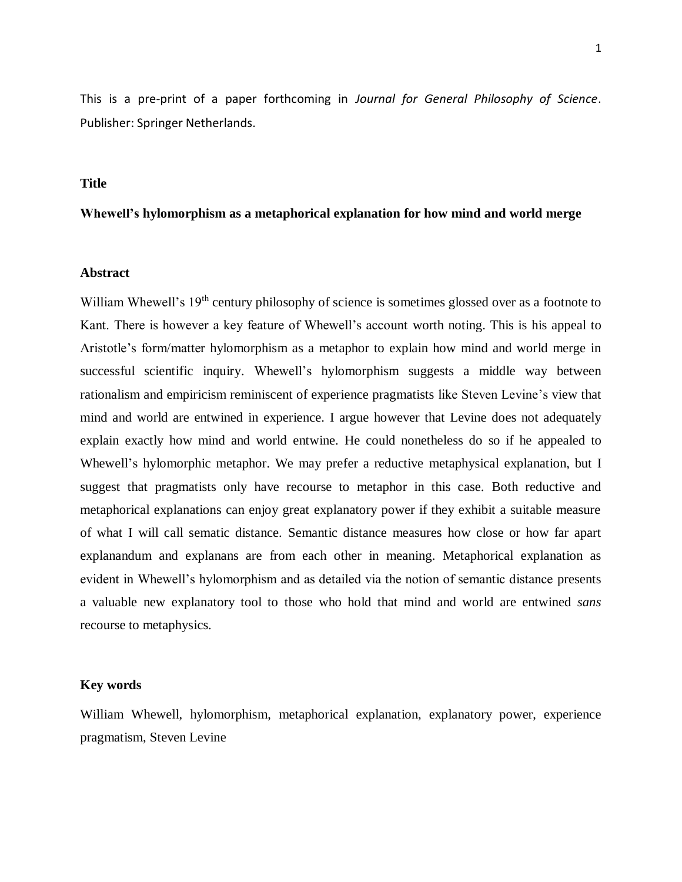This is a pre-print of a paper forthcoming in *Journal for General Philosophy of Science*. Publisher: Springer Netherlands.

## **Title**

# **Whewell's hylomorphism as a metaphorical explanation for how mind and world merge**

### **Abstract**

William Whewell's 19<sup>th</sup> century philosophy of science is sometimes glossed over as a footnote to Kant. There is however a key feature of Whewell's account worth noting. This is his appeal to Aristotle's form/matter hylomorphism as a metaphor to explain how mind and world merge in successful scientific inquiry. Whewell's hylomorphism suggests a middle way between rationalism and empiricism reminiscent of experience pragmatists like Steven Levine's view that mind and world are entwined in experience. I argue however that Levine does not adequately explain exactly how mind and world entwine. He could nonetheless do so if he appealed to Whewell's hylomorphic metaphor. We may prefer a reductive metaphysical explanation, but I suggest that pragmatists only have recourse to metaphor in this case. Both reductive and metaphorical explanations can enjoy great explanatory power if they exhibit a suitable measure of what I will call sematic distance. Semantic distance measures how close or how far apart explanandum and explanans are from each other in meaning. Metaphorical explanation as evident in Whewell's hylomorphism and as detailed via the notion of semantic distance presents a valuable new explanatory tool to those who hold that mind and world are entwined *sans* recourse to metaphysics.

#### **Key words**

William Whewell, hylomorphism, metaphorical explanation, explanatory power, experience pragmatism, Steven Levine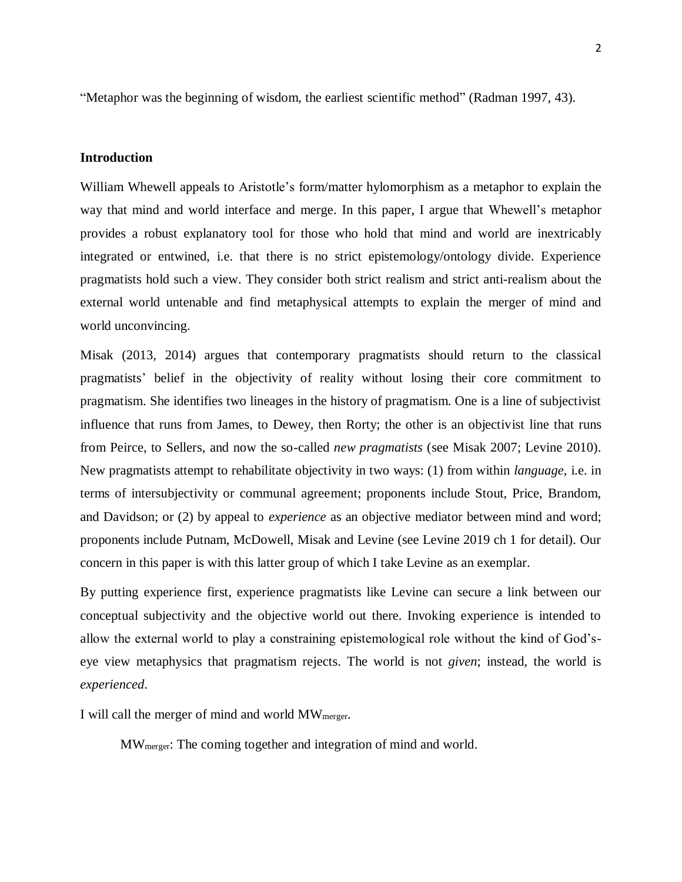"Metaphor was the beginning of wisdom, the earliest scientific method" (Radman 1997, 43).

## **Introduction**

William Whewell appeals to Aristotle's form/matter hylomorphism as a metaphor to explain the way that mind and world interface and merge. In this paper, I argue that Whewell's metaphor provides a robust explanatory tool for those who hold that mind and world are inextricably integrated or entwined, i.e. that there is no strict epistemology/ontology divide. Experience pragmatists hold such a view. They consider both strict realism and strict anti-realism about the external world untenable and find metaphysical attempts to explain the merger of mind and world unconvincing.

Misak (2013, 2014) argues that contemporary pragmatists should return to the classical pragmatists' belief in the objectivity of reality without losing their core commitment to pragmatism. She identifies two lineages in the history of pragmatism. One is a line of subjectivist influence that runs from James, to Dewey, then Rorty; the other is an objectivist line that runs from Peirce, to Sellers, and now the so-called *new pragmatists* (see Misak 2007; Levine 2010). New pragmatists attempt to rehabilitate objectivity in two ways: (1) from within *language*, i.e. in terms of intersubjectivity or communal agreement; proponents include Stout, Price, Brandom, and Davidson; or (2) by appeal to *experience* as an objective mediator between mind and word; proponents include Putnam, McDowell, Misak and Levine (see Levine 2019 ch 1 for detail). Our concern in this paper is with this latter group of which I take Levine as an exemplar.

By putting experience first, experience pragmatists like Levine can secure a link between our conceptual subjectivity and the objective world out there. Invoking experience is intended to allow the external world to play a constraining epistemological role without the kind of God'seye view metaphysics that pragmatism rejects. The world is not *given*; instead, the world is *experienced*.

I will call the merger of mind and world MWmerger.

MWmerger: The coming together and integration of mind and world.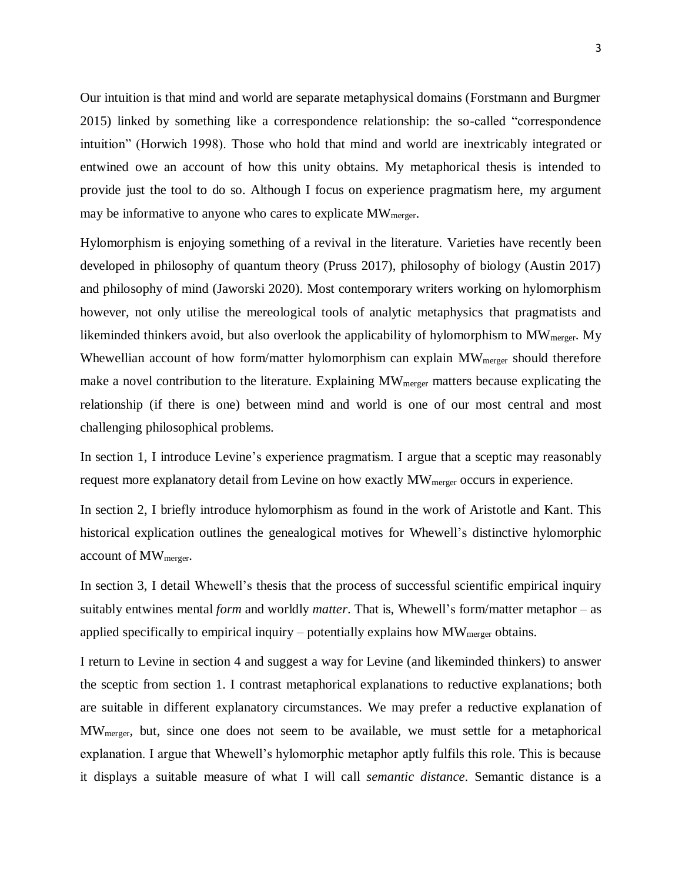Our intuition is that mind and world are separate metaphysical domains (Forstmann and Burgmer 2015) linked by something like a correspondence relationship: the so-called "correspondence intuition" (Horwich 1998). Those who hold that mind and world are inextricably integrated or entwined owe an account of how this unity obtains. My metaphorical thesis is intended to provide just the tool to do so. Although I focus on experience pragmatism here, my argument may be informative to anyone who cares to explicate  $MW_{merger}$ .

Hylomorphism is enjoying something of a revival in the literature. Varieties have recently been developed in philosophy of quantum theory (Pruss 2017), philosophy of biology (Austin 2017) and philosophy of mind (Jaworski 2020). Most contemporary writers working on hylomorphism however, not only utilise the mereological tools of analytic metaphysics that pragmatists and likeminded thinkers avoid, but also overlook the applicability of hylomorphism to MW<sub>merger</sub>. My Whewellian account of how form/matter hylomorphism can explain  $MW_{merger}$  should therefore make a novel contribution to the literature. Explaining  $MW_{merger}$  matters because explicating the relationship (if there is one) between mind and world is one of our most central and most challenging philosophical problems.

In section 1, I introduce Levine's experience pragmatism. I argue that a sceptic may reasonably request more explanatory detail from Levine on how exactly MW<sub>merger</sub> occurs in experience.

In section 2, I briefly introduce hylomorphism as found in the work of Aristotle and Kant. This historical explication outlines the genealogical motives for Whewell's distinctive hylomorphic account of MWmerger.

In section 3, I detail Whewell's thesis that the process of successful scientific empirical inquiry suitably entwines mental *form* and worldly *matter*. That is, Whewell's form/matter metaphor – as applied specifically to empirical inquiry – potentially explains how  $MW_{\text{merger}}$  obtains.

I return to Levine in section 4 and suggest a way for Levine (and likeminded thinkers) to answer the sceptic from section 1. I contrast metaphorical explanations to reductive explanations; both are suitable in different explanatory circumstances. We may prefer a reductive explanation of MWmerger, but, since one does not seem to be available, we must settle for a metaphorical explanation. I argue that Whewell's hylomorphic metaphor aptly fulfils this role. This is because it displays a suitable measure of what I will call *semantic distance*. Semantic distance is a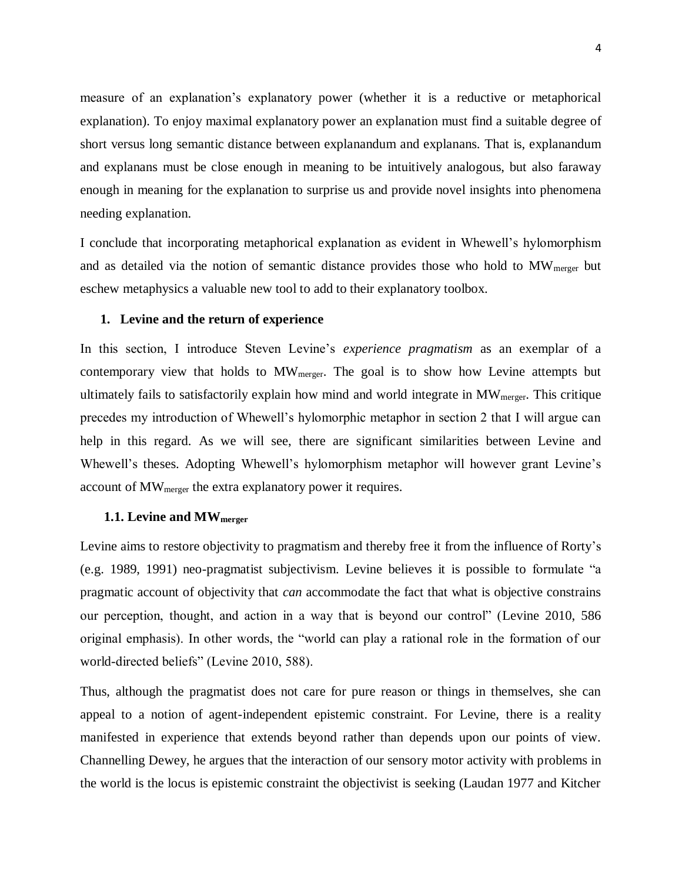measure of an explanation's explanatory power (whether it is a reductive or metaphorical explanation). To enjoy maximal explanatory power an explanation must find a suitable degree of short versus long semantic distance between explanandum and explanans. That is, explanandum and explanans must be close enough in meaning to be intuitively analogous, but also faraway enough in meaning for the explanation to surprise us and provide novel insights into phenomena needing explanation.

I conclude that incorporating metaphorical explanation as evident in Whewell's hylomorphism and as detailed via the notion of semantic distance provides those who hold to  $MW_{merger}$  but eschew metaphysics a valuable new tool to add to their explanatory toolbox.

### **1. Levine and the return of experience**

In this section, I introduce Steven Levine's *experience pragmatism* as an exemplar of a contemporary view that holds to  $MW_{merger}$ . The goal is to show how Levine attempts but ultimately fails to satisfactorily explain how mind and world integrate in  $MW_{merger}$ . This critique precedes my introduction of Whewell's hylomorphic metaphor in section 2 that I will argue can help in this regard. As we will see, there are significant similarities between Levine and Whewell's theses. Adopting Whewell's hylomorphism metaphor will however grant Levine's account of MWmerger the extra explanatory power it requires.

### **1.1. Levine and MWmerger**

Levine aims to restore objectivity to pragmatism and thereby free it from the influence of Rorty's (e.g. 1989, 1991) neo-pragmatist subjectivism. Levine believes it is possible to formulate "a pragmatic account of objectivity that *can* accommodate the fact that what is objective constrains our perception, thought, and action in a way that is beyond our control" (Levine 2010, 586 original emphasis). In other words, the "world can play a rational role in the formation of our world-directed beliefs" (Levine 2010, 588).

Thus, although the pragmatist does not care for pure reason or things in themselves, she can appeal to a notion of agent-independent epistemic constraint. For Levine, there is a reality manifested in experience that extends beyond rather than depends upon our points of view. Channelling Dewey, he argues that the interaction of our sensory motor activity with problems in the world is the locus is epistemic constraint the objectivist is seeking (Laudan 1977 and Kitcher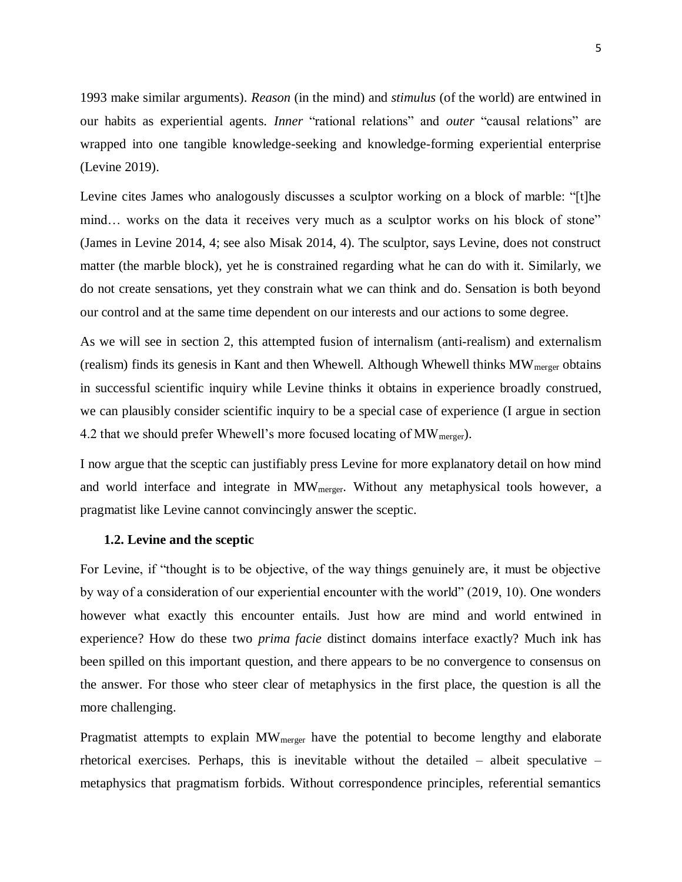1993 make similar arguments). *Reason* (in the mind) and *stimulus* (of the world) are entwined in our habits as experiential agents. *Inner* "rational relations" and *outer* "causal relations" are wrapped into one tangible knowledge-seeking and knowledge-forming experiential enterprise (Levine 2019).

Levine cites James who analogously discusses a sculptor working on a block of marble: "[t]he mind... works on the data it receives very much as a sculptor works on his block of stone" (James in Levine 2014, 4; see also Misak 2014, 4). The sculptor, says Levine, does not construct matter (the marble block), yet he is constrained regarding what he can do with it. Similarly, we do not create sensations, yet they constrain what we can think and do. Sensation is both beyond our control and at the same time dependent on our interests and our actions to some degree.

As we will see in section 2, this attempted fusion of internalism (anti-realism) and externalism (realism) finds its genesis in Kant and then Whewell. Although Whewell thinks  $MW_{merger}$  obtains in successful scientific inquiry while Levine thinks it obtains in experience broadly construed, we can plausibly consider scientific inquiry to be a special case of experience (I argue in section 4.2 that we should prefer Whewell's more focused locating of  $MW_{merger}$ ).

I now argue that the sceptic can justifiably press Levine for more explanatory detail on how mind and world interface and integrate in MW<sub>merger</sub>. Without any metaphysical tools however, a pragmatist like Levine cannot convincingly answer the sceptic.

### **1.2. Levine and the sceptic**

For Levine, if "thought is to be objective, of the way things genuinely are, it must be objective by way of a consideration of our experiential encounter with the world" (2019, 10). One wonders however what exactly this encounter entails. Just how are mind and world entwined in experience? How do these two *prima facie* distinct domains interface exactly? Much ink has been spilled on this important question, and there appears to be no convergence to consensus on the answer. For those who steer clear of metaphysics in the first place, the question is all the more challenging.

Pragmatist attempts to explain MW<sub>merger</sub> have the potential to become lengthy and elaborate rhetorical exercises. Perhaps, this is inevitable without the detailed – albeit speculative – metaphysics that pragmatism forbids. Without correspondence principles, referential semantics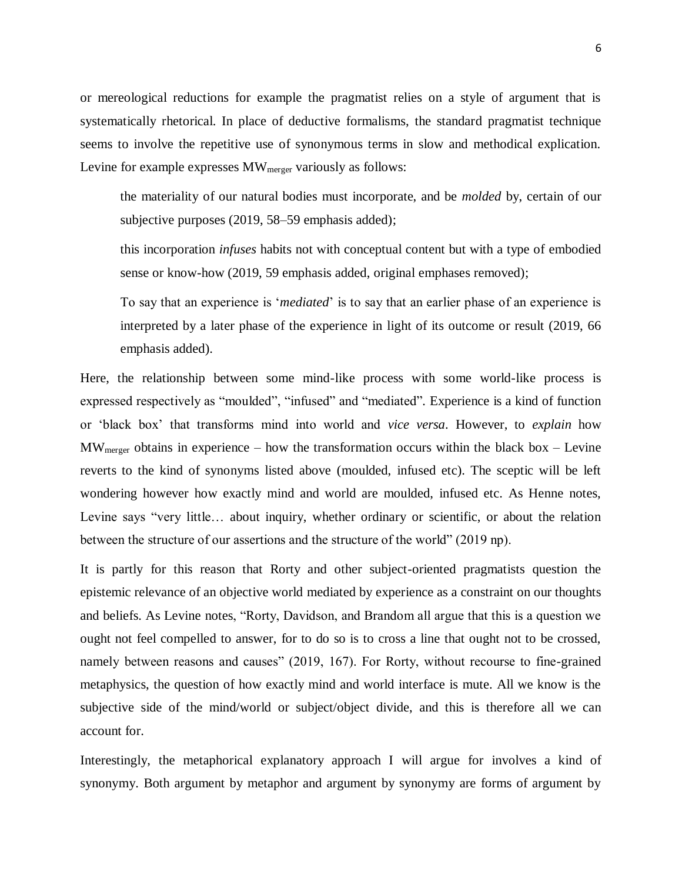or mereological reductions for example the pragmatist relies on a style of argument that is systematically rhetorical. In place of deductive formalisms, the standard pragmatist technique seems to involve the repetitive use of synonymous terms in slow and methodical explication. Levine for example expresses  $MW_{merger}$  variously as follows:

the materiality of our natural bodies must incorporate, and be *molded* by, certain of our subjective purposes (2019, 58–59 emphasis added);

this incorporation *infuses* habits not with conceptual content but with a type of embodied sense or know-how (2019, 59 emphasis added, original emphases removed);

To say that an experience is '*mediated*' is to say that an earlier phase of an experience is interpreted by a later phase of the experience in light of its outcome or result (2019, 66 emphasis added).

Here, the relationship between some mind-like process with some world-like process is expressed respectively as "moulded", "infused" and "mediated"*.* Experience is a kind of function or 'black box' that transforms mind into world and *vice versa*. However, to *explain* how  $MW_{\text{merger}}$  obtains in experience – how the transformation occurs within the black box – Levine reverts to the kind of synonyms listed above (moulded, infused etc). The sceptic will be left wondering however how exactly mind and world are moulded, infused etc. As Henne notes, Levine says "very little… about inquiry, whether ordinary or scientific, or about the relation between the structure of our assertions and the structure of the world" (2019 np).

It is partly for this reason that Rorty and other subject-oriented pragmatists question the epistemic relevance of an objective world mediated by experience as a constraint on our thoughts and beliefs. As Levine notes, "Rorty, Davidson, and Brandom all argue that this is a question we ought not feel compelled to answer, for to do so is to cross a line that ought not to be crossed, namely between reasons and causes" (2019, 167). For Rorty, without recourse to fine-grained metaphysics, the question of how exactly mind and world interface is mute. All we know is the subjective side of the mind/world or subject/object divide, and this is therefore all we can account for.

Interestingly, the metaphorical explanatory approach I will argue for involves a kind of synonymy. Both argument by metaphor and argument by synonymy are forms of argument by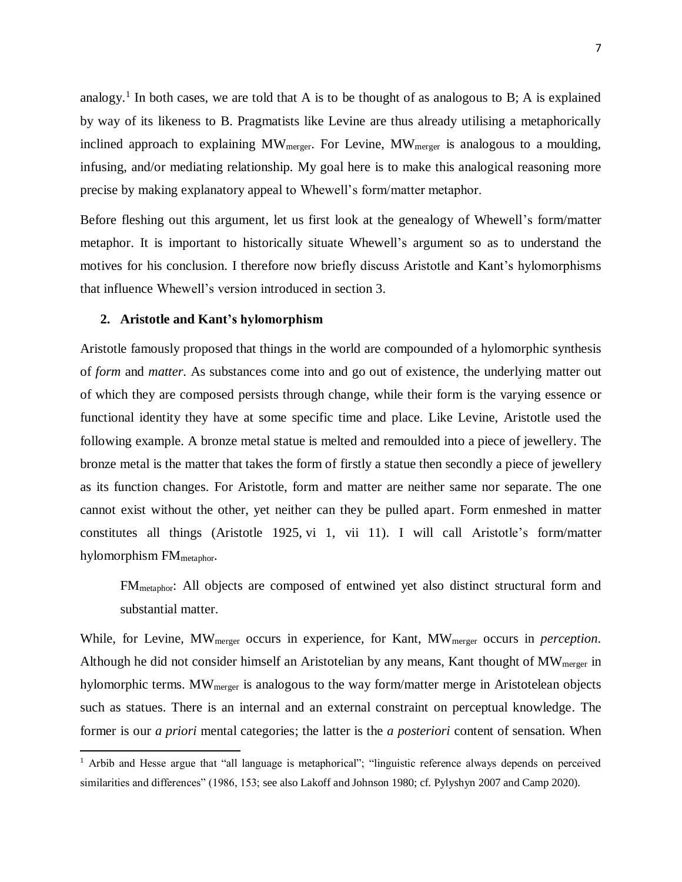analogy.<sup>1</sup> In both cases, we are told that A is to be thought of as analogous to B; A is explained by way of its likeness to B. Pragmatists like Levine are thus already utilising a metaphorically inclined approach to explaining  $MW_{merger}$ . For Levine,  $MW_{merger}$  is analogous to a moulding, infusing, and/or mediating relationship*.* My goal here is to make this analogical reasoning more precise by making explanatory appeal to Whewell's form/matter metaphor.

Before fleshing out this argument, let us first look at the genealogy of Whewell's form/matter metaphor. It is important to historically situate Whewell's argument so as to understand the motives for his conclusion. I therefore now briefly discuss Aristotle and Kant's hylomorphisms that influence Whewell's version introduced in section 3.

### **2. Aristotle and Kant's hylomorphism**

 $\overline{a}$ 

Aristotle famously proposed that things in the world are compounded of a hylomorphic synthesis of *form* and *matter*. As substances come into and go out of existence, the underlying matter out of which they are composed persists through change, while their form is the varying essence or functional identity they have at some specific time and place. Like Levine, Aristotle used the following example. A bronze metal statue is melted and remoulded into a piece of jewellery. The bronze metal is the matter that takes the form of firstly a statue then secondly a piece of jewellery as its function changes. For Aristotle, form and matter are neither same nor separate. The one cannot exist without the other, yet neither can they be pulled apart. Form enmeshed in matter constitutes all things (Aristotle 1925, vi 1, vii 11). I will call Aristotle's form/matter hylomorphism FM<sub>metaphor</sub>.

FMmetaphor: All objects are composed of entwined yet also distinct structural form and substantial matter.

While, for Levine, MWmerger occurs in experience, for Kant, MWmerger occurs in *perception*. Although he did not consider himself an Aristotelian by any means, Kant thought of MW<sub>merger</sub> in hylomorphic terms. MW<sub>merger</sub> is analogous to the way form/matter merge in Aristotelean objects such as statues. There is an internal and an external constraint on perceptual knowledge. The former is our *a priori* mental categories; the latter is the *a posteriori* content of sensation. When

<sup>&</sup>lt;sup>1</sup> Arbib and Hesse argue that "all language is metaphorical"; "linguistic reference always depends on perceived similarities and differences" (1986, 153; see also Lakoff and Johnson 1980; cf. Pylyshyn 2007 and Camp 2020).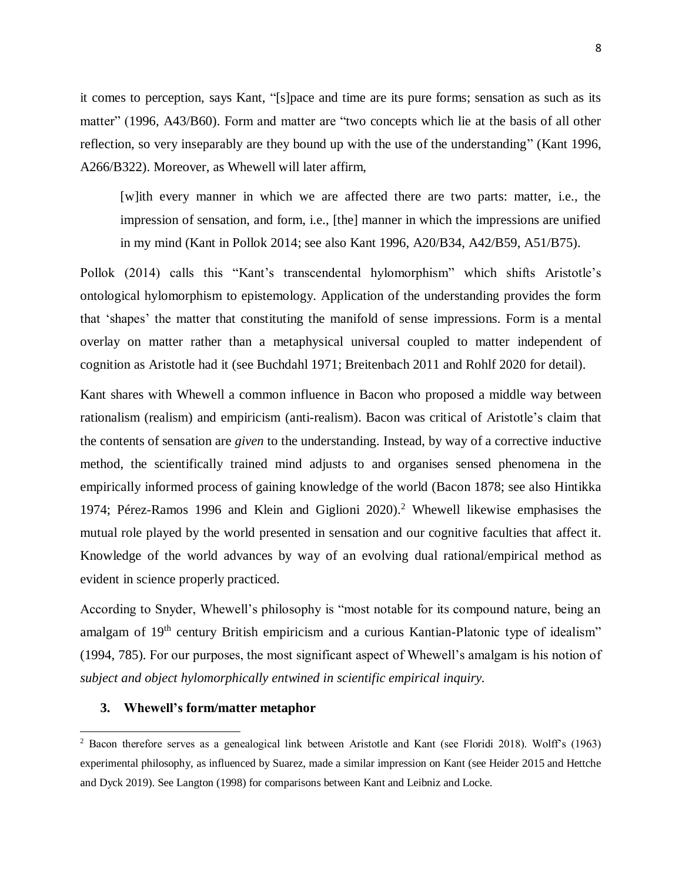it comes to perception, says Kant, "[s]pace and time are its pure forms; sensation as such as its matter" (1996, A43/B60). Form and matter are "two concepts which lie at the basis of all other reflection, so very inseparably are they bound up with the use of the understanding" (Kant 1996, A266/B322). Moreover, as Whewell will later affirm,

[w]ith every manner in which we are affected there are two parts: matter, i.e., the impression of sensation, and form, i.e., [the] manner in which the impressions are unified in my mind (Kant in Pollok 2014; see also Kant 1996, A20/B34, A42/B59, A51/B75).

Pollok (2014) calls this "Kant's transcendental hylomorphism" which shifts Aristotle's ontological hylomorphism to epistemology. Application of the understanding provides the form that 'shapes' the matter that constituting the manifold of sense impressions. Form is a mental overlay on matter rather than a metaphysical universal coupled to matter independent of cognition as Aristotle had it (see Buchdahl 1971; Breitenbach 2011 and Rohlf 2020 for detail).

Kant shares with Whewell a common influence in Bacon who proposed a middle way between rationalism (realism) and empiricism (anti-realism). Bacon was critical of Aristotle's claim that the contents of sensation are *given* to the understanding. Instead, by way of a corrective inductive method, the scientifically trained mind adjusts to and organises sensed phenomena in the empirically informed process of gaining knowledge of the world (Bacon 1878; see also Hintikka 1974; Pérez-Ramos 1996 and Klein and Giglioni 2020). <sup>2</sup> Whewell likewise emphasises the mutual role played by the world presented in sensation and our cognitive faculties that affect it. Knowledge of the world advances by way of an evolving dual rational/empirical method as evident in science properly practiced.

According to Snyder, Whewell's philosophy is "most notable for its compound nature, being an amalgam of 19<sup>th</sup> century British empiricism and a curious Kantian-Platonic type of idealism" (1994, 785). For our purposes, the most significant aspect of Whewell's amalgam is his notion of *subject and object hylomorphically entwined in scientific empirical inquiry.* 

#### **3. Whewell's form/matter metaphor**

 $\overline{\phantom{a}}$ 

<sup>2</sup> Bacon therefore serves as a genealogical link between Aristotle and Kant (see Floridi 2018). Wolff's (1963) experimental philosophy, as influenced by Suarez, made a similar impression on Kant (see Heider 2015 and Hettche and Dyck 2019). See Langton (1998) for comparisons between Kant and Leibniz and Locke.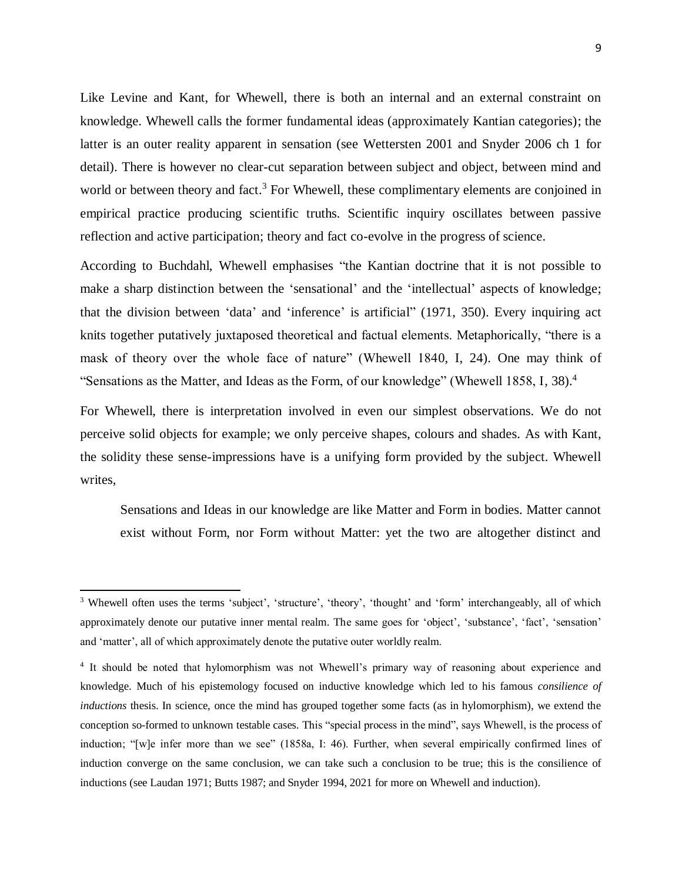Like Levine and Kant, for Whewell, there is both an internal and an external constraint on knowledge. Whewell calls the former fundamental ideas (approximately Kantian categories); the latter is an outer reality apparent in sensation (see Wettersten 2001 and Snyder 2006 ch 1 for detail). There is however no clear-cut separation between subject and object, between mind and world or between theory and fact.<sup>3</sup> For Whewell, these complimentary elements are conjoined in empirical practice producing scientific truths. Scientific inquiry oscillates between passive reflection and active participation; theory and fact co-evolve in the progress of science.

According to Buchdahl, Whewell emphasises "the Kantian doctrine that it is not possible to make a sharp distinction between the 'sensational' and the 'intellectual' aspects of knowledge; that the division between 'data' and 'inference' is artificial" (1971, 350). Every inquiring act knits together putatively juxtaposed theoretical and factual elements. Metaphorically, "there is a mask of theory over the whole face of nature" (Whewell 1840, I, 24). One may think of "Sensations as the Matter, and Ideas as the Form, of our knowledge" (Whewell 1858, I, 38).<sup>4</sup>

For Whewell, there is interpretation involved in even our simplest observations. We do not perceive solid objects for example; we only perceive shapes, colours and shades. As with Kant, the solidity these sense-impressions have is a unifying form provided by the subject. Whewell writes,

Sensations and Ideas in our knowledge are like Matter and Form in bodies. Matter cannot exist without Form, nor Form without Matter: yet the two are altogether distinct and

 $\overline{\phantom{a}}$ 

<sup>3</sup> Whewell often uses the terms 'subject', 'structure', 'theory', 'thought' and 'form' interchangeably, all of which approximately denote our putative inner mental realm. The same goes for 'object', 'substance', 'fact', 'sensation' and 'matter', all of which approximately denote the putative outer worldly realm.

<sup>&</sup>lt;sup>4</sup> It should be noted that hylomorphism was not Whewell's primary way of reasoning about experience and knowledge. Much of his epistemology focused on inductive knowledge which led to his famous *consilience of inductions* thesis. In science, once the mind has grouped together some facts (as in hylomorphism), we extend the conception so-formed to unknown testable cases. This "special process in the mind", says Whewell, is the process of induction; "[w]e infer more than we see" (1858a, I: 46). Further, when several empirically confirmed lines of induction converge on the same conclusion, we can take such a conclusion to be true; this is the consilience of inductions (see Laudan 1971; Butts 1987; and Snyder 1994, 2021 for more on Whewell and induction).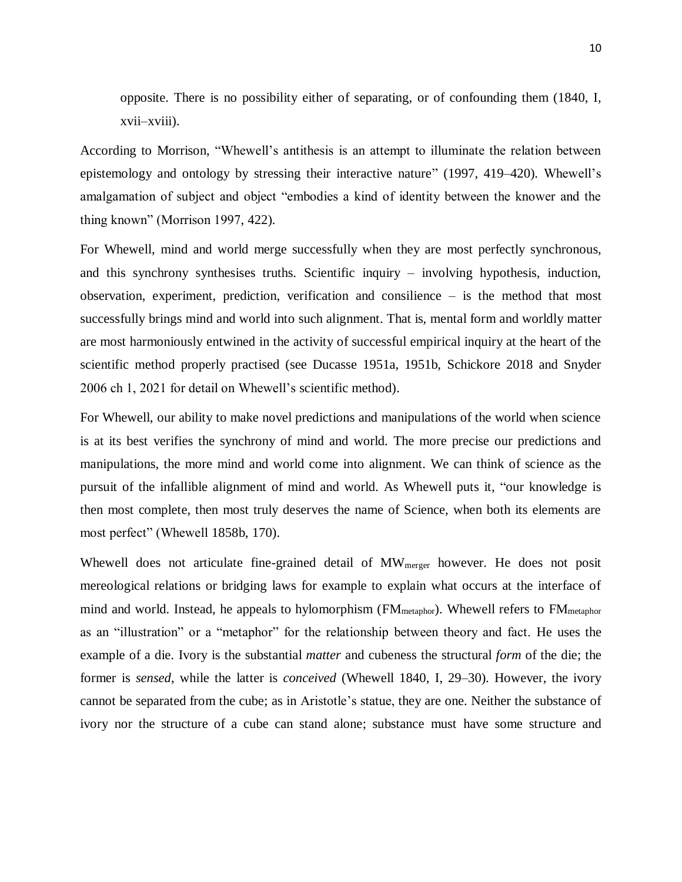opposite. There is no possibility either of separating, or of confounding them (1840, I, xvii–xviii).

According to Morrison, "Whewell's antithesis is an attempt to illuminate the relation between epistemology and ontology by stressing their interactive nature" (1997, 419–420). Whewell's amalgamation of subject and object "embodies a kind of identity between the knower and the thing known" (Morrison 1997, 422).

For Whewell, mind and world merge successfully when they are most perfectly synchronous, and this synchrony synthesises truths. Scientific inquiry – involving hypothesis, induction, observation, experiment, prediction, verification and consilience – is the method that most successfully brings mind and world into such alignment. That is, mental form and worldly matter are most harmoniously entwined in the activity of successful empirical inquiry at the heart of the scientific method properly practised (see Ducasse 1951a, 1951b, Schickore 2018 and Snyder 2006 ch 1, 2021 for detail on Whewell's scientific method).

For Whewell, our ability to make novel predictions and manipulations of the world when science is at its best verifies the synchrony of mind and world. The more precise our predictions and manipulations, the more mind and world come into alignment. We can think of science as the pursuit of the infallible alignment of mind and world. As Whewell puts it, "our knowledge is then most complete, then most truly deserves the name of Science, when both its elements are most perfect" (Whewell 1858b, 170).

Whewell does not articulate fine-grained detail of MW<sub>merger</sub> however. He does not posit mereological relations or bridging laws for example to explain what occurs at the interface of mind and world. Instead, he appeals to hylomorphism (FM<sub>metaphor</sub>). Whewell refers to FM<sub>metaphor</sub> as an "illustration" or a "metaphor" for the relationship between theory and fact. He uses the example of a die. Ivory is the substantial *matter* and cubeness the structural *form* of the die; the former is *sensed*, while the latter is *conceived* (Whewell 1840, I, 29–30). However, the ivory cannot be separated from the cube; as in Aristotle's statue, they are one. Neither the substance of ivory nor the structure of a cube can stand alone; substance must have some structure and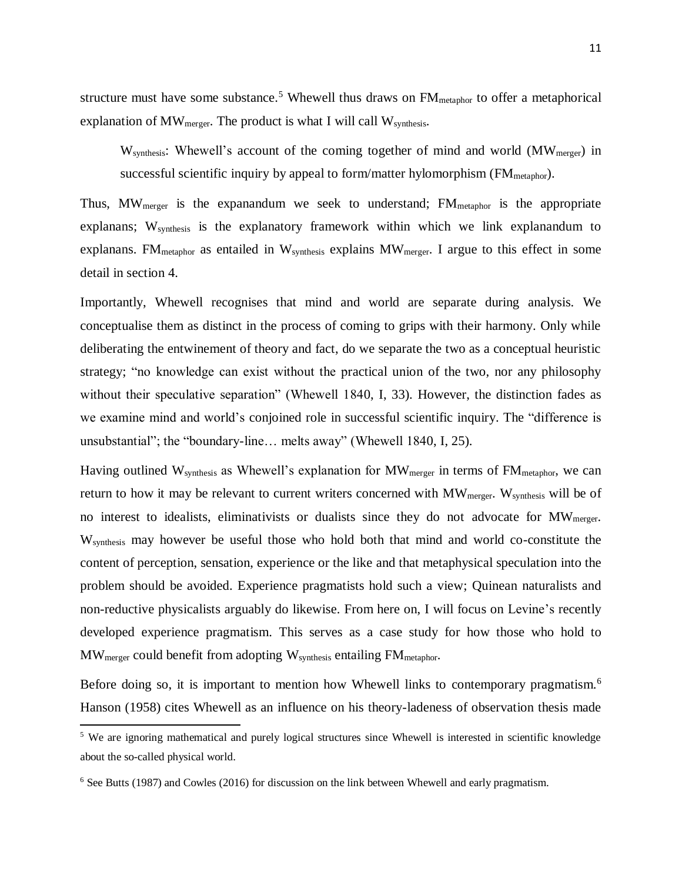structure must have some substance.<sup>5</sup> Whewell thus draws on  $FM_{\text{metaphor}}$  to offer a metaphorical explanation of  $MW_{merger}$ . The product is what I will call  $W_{synthesis}$ .

W<sub>synthesis</sub>: Whewell's account of the coming together of mind and world (MW<sub>merger</sub>) in successful scientific inquiry by appeal to form/matter hylomorphism  $(FM_{\text{metaphor}})$ .

Thus,  $MW_{merger}$  is the expanandum we seek to understand;  $FM_{metaphor}$  is the appropriate explanans; W<sub>synthesis</sub> is the explanatory framework within which we link explanandum to explanans. FM<sub>metaphor</sub> as entailed in  $W_{synthesis}$  explains  $MW_{merger}$ . I argue to this effect in some detail in section 4.

Importantly, Whewell recognises that mind and world are separate during analysis. We conceptualise them as distinct in the process of coming to grips with their harmony. Only while deliberating the entwinement of theory and fact, do we separate the two as a conceptual heuristic strategy; "no knowledge can exist without the practical union of the two, nor any philosophy without their speculative separation" (Whewell 1840, I, 33). However, the distinction fades as we examine mind and world's conjoined role in successful scientific inquiry. The "difference is unsubstantial"; the "boundary-line… melts away" (Whewell 1840, I, 25).

Having outlined  $W_{synthesis}$  as Whewell's explanation for  $MW_{merger}$  in terms of  $FM_{metaphor}$ , we can return to how it may be relevant to current writers concerned with MW<sub>merger</sub>. W<sub>synthesis</sub> will be of no interest to idealists, eliminativists or dualists since they do not advocate for  $MW_{\text{merger}}$ . Wsynthesis may however be useful those who hold both that mind and world co-constitute the content of perception, sensation, experience or the like and that metaphysical speculation into the problem should be avoided. Experience pragmatists hold such a view; Quinean naturalists and non-reductive physicalists arguably do likewise. From here on, I will focus on Levine's recently developed experience pragmatism. This serves as a case study for how those who hold to MWmerger could benefit from adopting Wsynthesis entailing FMmetaphor.

Before doing so, it is important to mention how Whewell links to contemporary pragmatism.<sup>6</sup> Hanson (1958) cites Whewell as an influence on his theory-ladeness of observation thesis made

 $\overline{\phantom{a}}$ 

<sup>&</sup>lt;sup>5</sup> We are ignoring mathematical and purely logical structures since Whewell is interested in scientific knowledge about the so-called physical world.

<sup>6</sup> See Butts (1987) and Cowles (2016) for discussion on the link between Whewell and early pragmatism.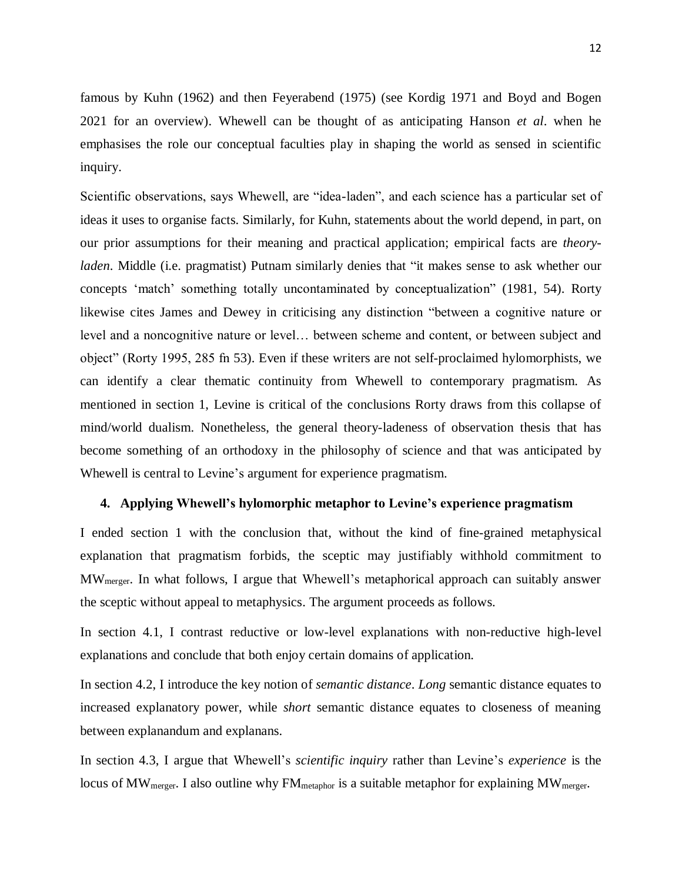famous by Kuhn (1962) and then Feyerabend (1975) (see Kordig 1971 and Boyd and Bogen 2021 for an overview). Whewell can be thought of as anticipating Hanson *et al*. when he emphasises the role our conceptual faculties play in shaping the world as sensed in scientific inquiry.

Scientific observations, says Whewell, are "idea-laden", and each science has a particular set of ideas it uses to organise facts. Similarly, for Kuhn, statements about the world depend, in part, on our prior assumptions for their meaning and practical application; empirical facts are *theoryladen*. Middle (i.e. pragmatist) Putnam similarly denies that "it makes sense to ask whether our concepts 'match' something totally uncontaminated by conceptualization" (1981, 54). Rorty likewise cites James and Dewey in criticising any distinction "between a cognitive nature or level and a noncognitive nature or level… between scheme and content, or between subject and object" (Rorty 1995, 285 fn 53). Even if these writers are not self-proclaimed hylomorphists, we can identify a clear thematic continuity from Whewell to contemporary pragmatism. As mentioned in section 1, Levine is critical of the conclusions Rorty draws from this collapse of mind/world dualism. Nonetheless, the general theory-ladeness of observation thesis that has become something of an orthodoxy in the philosophy of science and that was anticipated by Whewell is central to Levine's argument for experience pragmatism.

### **4. Applying Whewell's hylomorphic metaphor to Levine's experience pragmatism**

I ended section 1 with the conclusion that, without the kind of fine-grained metaphysical explanation that pragmatism forbids, the sceptic may justifiably withhold commitment to MWmerger. In what follows, I argue that Whewell's metaphorical approach can suitably answer the sceptic without appeal to metaphysics. The argument proceeds as follows.

In section 4.1, I contrast reductive or low-level explanations with non-reductive high-level explanations and conclude that both enjoy certain domains of application.

In section 4.2, I introduce the key notion of *semantic distance*. *Long* semantic distance equates to increased explanatory power, while *short* semantic distance equates to closeness of meaning between explanandum and explanans.

In section 4.3, I argue that Whewell's *scientific inquiry* rather than Levine's *experience* is the locus of MW<sub>merger</sub>. I also outline why FM<sub>metaphor</sub> is a suitable metaphor for explaining MW<sub>merger</sub>.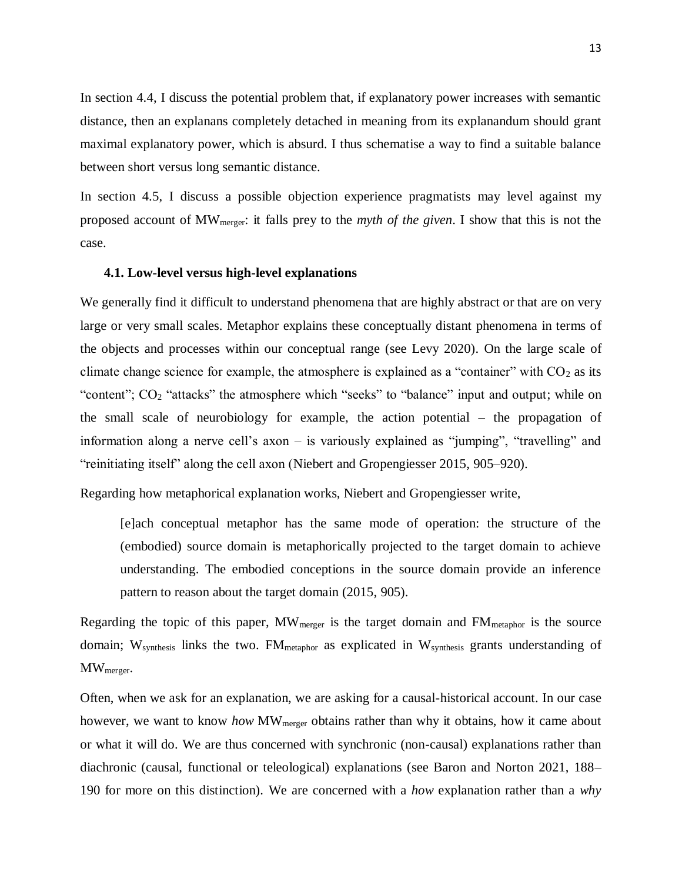In section 4.4, I discuss the potential problem that, if explanatory power increases with semantic distance, then an explanans completely detached in meaning from its explanandum should grant maximal explanatory power, which is absurd. I thus schematise a way to find a suitable balance between short versus long semantic distance.

In section 4.5, I discuss a possible objection experience pragmatists may level against my proposed account of MWmerger: it falls prey to the *myth of the given*. I show that this is not the case.

### **4.1. Low-level versus high-level explanations**

We generally find it difficult to understand phenomena that are highly abstract or that are on very large or very small scales. Metaphor explains these conceptually distant phenomena in terms of the objects and processes within our conceptual range (see Levy 2020). On the large scale of climate change science for example, the atmosphere is explained as a "container" with  $CO<sub>2</sub>$  as its "content"; CO<sub>2</sub> "attacks" the atmosphere which "seeks" to "balance" input and output; while on the small scale of neurobiology for example, the action potential – the propagation of information along a nerve cell's axon – is variously explained as "jumping", "travelling" and "reinitiating itself" along the cell axon (Niebert and Gropengiesser 2015, 905–920).

Regarding how metaphorical explanation works, Niebert and Gropengiesser write,

[e]ach conceptual metaphor has the same mode of operation: the structure of the (embodied) source domain is metaphorically projected to the target domain to achieve understanding. The embodied conceptions in the source domain provide an inference pattern to reason about the target domain (2015, 905).

Regarding the topic of this paper,  $MW_{merger}$  is the target domain and  $FM_{metaphor}$  is the source domain; W<sub>synthesis</sub> links the two. FM<sub>metaphor</sub> as explicated in W<sub>synthesis</sub> grants understanding of MWmerger.

Often, when we ask for an explanation, we are asking for a causal-historical account. In our case however, we want to know *how* MW<sub>merger</sub> obtains rather than why it obtains, how it came about or what it will do. We are thus concerned with synchronic (non-causal) explanations rather than diachronic (causal, functional or teleological) explanations (see Baron and Norton 2021, 188– 190 for more on this distinction). We are concerned with a *how* explanation rather than a *why*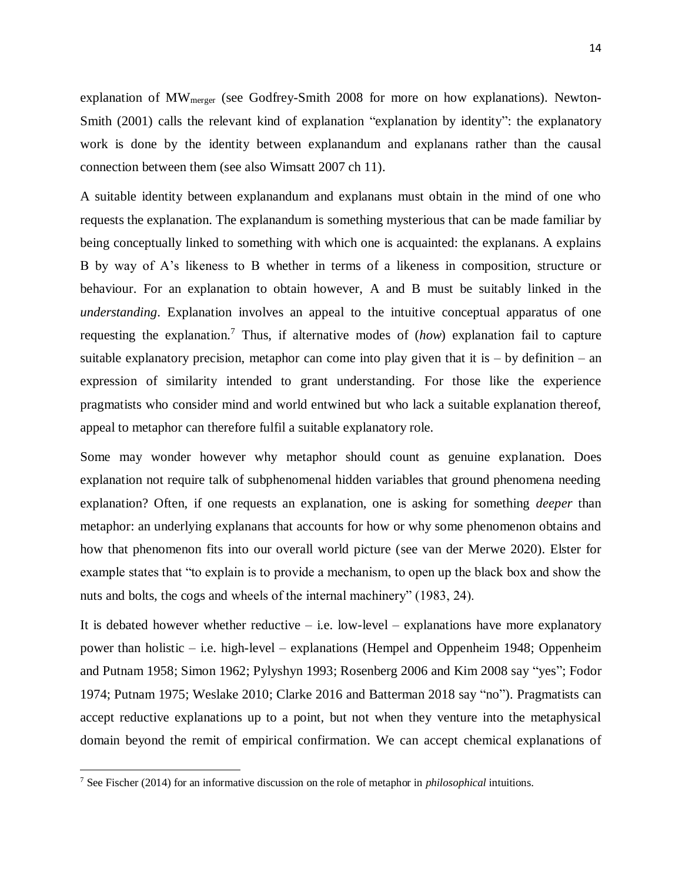explanation of MWmerger (see Godfrey-Smith 2008 for more on how explanations). Newton-Smith (2001) calls the relevant kind of explanation "explanation by identity": the explanatory work is done by the identity between explanandum and explanans rather than the causal connection between them (see also Wimsatt 2007 ch 11).

A suitable identity between explanandum and explanans must obtain in the mind of one who requests the explanation. The explanandum is something mysterious that can be made familiar by being conceptually linked to something with which one is acquainted: the explanans. A explains B by way of A's likeness to B whether in terms of a likeness in composition, structure or behaviour. For an explanation to obtain however, A and B must be suitably linked in the *understanding*. Explanation involves an appeal to the intuitive conceptual apparatus of one requesting the explanation.<sup>7</sup> Thus, if alternative modes of (*how*) explanation fail to capture suitable explanatory precision, metaphor can come into play given that it is  $-$  by definition  $-$  an expression of similarity intended to grant understanding. For those like the experience pragmatists who consider mind and world entwined but who lack a suitable explanation thereof, appeal to metaphor can therefore fulfil a suitable explanatory role.

Some may wonder however why metaphor should count as genuine explanation. Does explanation not require talk of subphenomenal hidden variables that ground phenomena needing explanation? Often, if one requests an explanation, one is asking for something *deeper* than metaphor: an underlying explanans that accounts for how or why some phenomenon obtains and how that phenomenon fits into our overall world picture (see van der Merwe 2020). Elster for example states that "to explain is to provide a mechanism, to open up the black box and show the nuts and bolts, the cogs and wheels of the internal machinery" (1983, 24).

It is debated however whether reductive  $-$  i.e. low-level  $-$  explanations have more explanatory power than holistic – i.e. high-level – explanations (Hempel and Oppenheim 1948; Oppenheim and Putnam 1958; Simon 1962; Pylyshyn 1993; Rosenberg 2006 and Kim 2008 say "yes"; Fodor 1974; Putnam 1975; Weslake 2010; Clarke 2016 and Batterman 2018 say "no"). Pragmatists can accept reductive explanations up to a point, but not when they venture into the metaphysical domain beyond the remit of empirical confirmation. We can accept chemical explanations of

<sup>7</sup> See Fischer (2014) for an informative discussion on the role of metaphor in *philosophical* intuitions.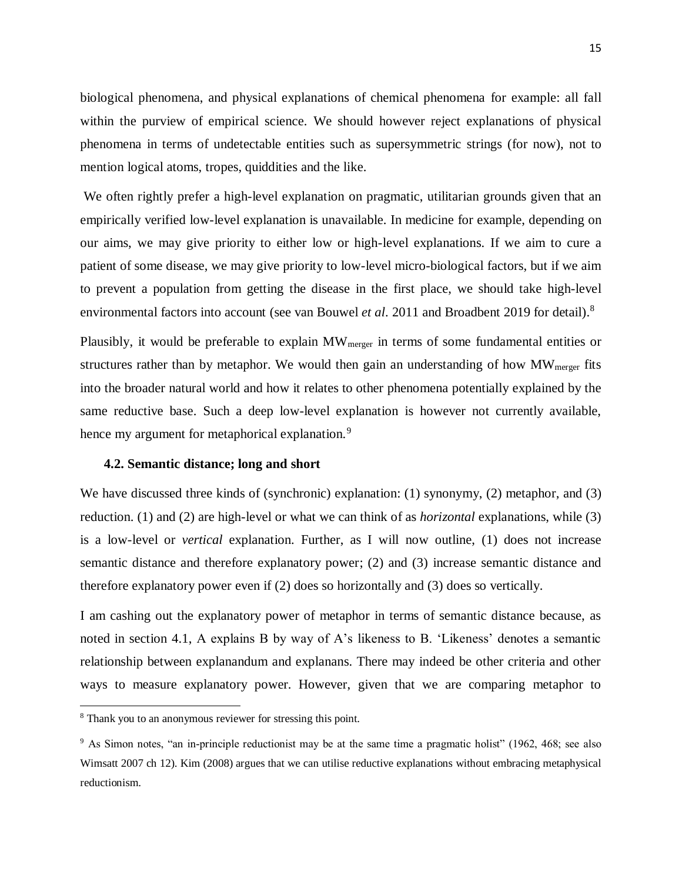biological phenomena, and physical explanations of chemical phenomena for example: all fall within the purview of empirical science. We should however reject explanations of physical phenomena in terms of undetectable entities such as supersymmetric strings (for now), not to mention logical atoms, tropes, quiddities and the like.

We often rightly prefer a high-level explanation on pragmatic, utilitarian grounds given that an empirically verified low-level explanation is unavailable. In medicine for example, depending on our aims, we may give priority to either low or high-level explanations. If we aim to cure a patient of some disease, we may give priority to low-level micro-biological factors, but if we aim to prevent a population from getting the disease in the first place, we should take high-level environmental factors into account (see van Bouwel *et al*. 2011 and Broadbent 2019 for detail). 8

Plausibly, it would be preferable to explain MW<sub>merger</sub> in terms of some fundamental entities or structures rather than by metaphor. We would then gain an understanding of how  $MW_{merger}$  fits into the broader natural world and how it relates to other phenomena potentially explained by the same reductive base. Such a deep low-level explanation is however not currently available, hence my argument for metaphorical explanation.<sup>9</sup>

### **4.2. Semantic distance; long and short**

We have discussed three kinds of (synchronic) explanation: (1) synonymy, (2) metaphor, and (3) reduction. (1) and (2) are high-level or what we can think of as *horizontal* explanations, while (3) is a low-level or *vertical* explanation. Further, as I will now outline, (1) does not increase semantic distance and therefore explanatory power; (2) and (3) increase semantic distance and therefore explanatory power even if (2) does so horizontally and (3) does so vertically.

I am cashing out the explanatory power of metaphor in terms of semantic distance because, as noted in section 4.1, A explains B by way of A's likeness to B. 'Likeness' denotes a semantic relationship between explanandum and explanans. There may indeed be other criteria and other ways to measure explanatory power. However, given that we are comparing metaphor to

<sup>8</sup> Thank you to an anonymous reviewer for stressing this point.

<sup>9</sup> As Simon notes, "an in-principle reductionist may be at the same time a pragmatic holist" (1962, 468; see also Wimsatt 2007 ch 12). Kim (2008) argues that we can utilise reductive explanations without embracing metaphysical reductionism.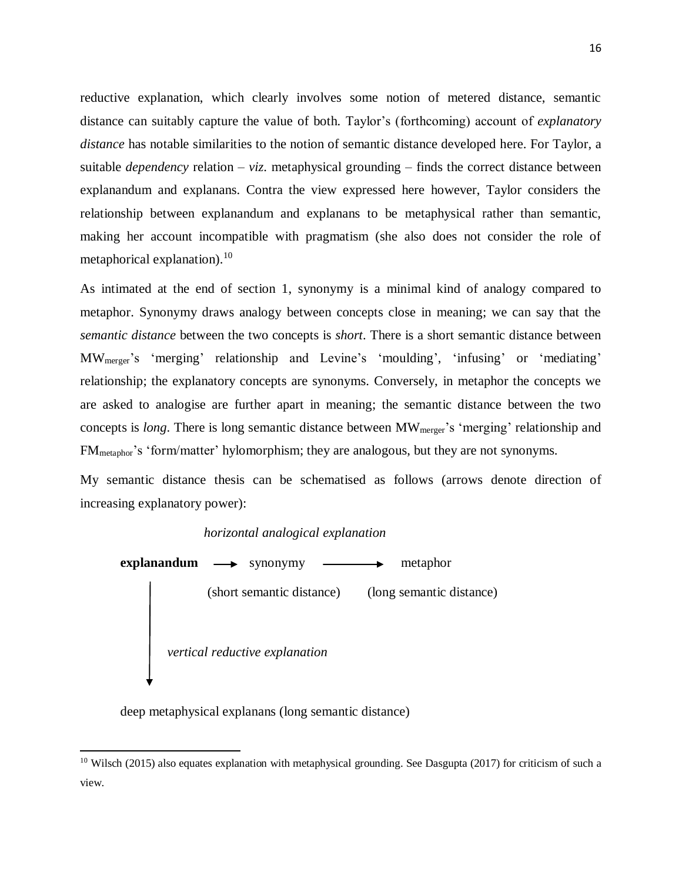reductive explanation, which clearly involves some notion of metered distance, semantic distance can suitably capture the value of both. Taylor's (forthcoming) account of *explanatory distance* has notable similarities to the notion of semantic distance developed here. For Taylor, a suitable *dependency* relation – *viz*. metaphysical grounding – finds the correct distance between explanandum and explanans. Contra the view expressed here however, Taylor considers the relationship between explanandum and explanans to be metaphysical rather than semantic, making her account incompatible with pragmatism (she also does not consider the role of metaphorical explanation).<sup>10</sup>

As intimated at the end of section 1, synonymy is a minimal kind of analogy compared to metaphor. Synonymy draws analogy between concepts close in meaning; we can say that the *semantic distance* between the two concepts is *short*. There is a short semantic distance between MWmerger's 'merging' relationship and Levine's 'moulding', 'infusing' or 'mediating' relationship; the explanatory concepts are synonyms. Conversely, in metaphor the concepts we are asked to analogise are further apart in meaning; the semantic distance between the two concepts is *long*. There is long semantic distance between MWmerger's 'merging' relationship and FMmetaphor's 'form/matter' hylomorphism; they are analogous, but they are not synonyms.

My semantic distance thesis can be schematised as follows (arrows denote direction of increasing explanatory power):

*horizontal analogical explanation*



deep metaphysical explanans (long semantic distance)

<sup>&</sup>lt;sup>10</sup> Wilsch (2015) also equates explanation with metaphysical grounding. See Dasgupta (2017) for criticism of such a view.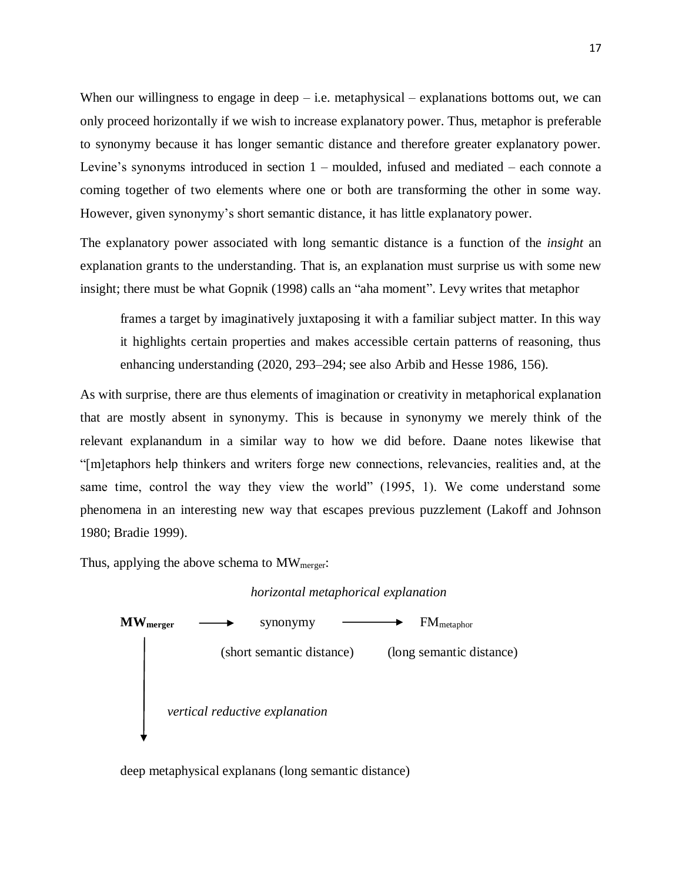When our willingness to engage in deep  $-$  i.e. metaphysical  $-$  explanations bottoms out, we can only proceed horizontally if we wish to increase explanatory power. Thus, metaphor is preferable to synonymy because it has longer semantic distance and therefore greater explanatory power. Levine's synonyms introduced in section 1 – moulded, infused and mediated – each connote a coming together of two elements where one or both are transforming the other in some way. However, given synonymy's short semantic distance, it has little explanatory power.

The explanatory power associated with long semantic distance is a function of the *insight* an explanation grants to the understanding. That is, an explanation must surprise us with some new insight; there must be what Gopnik (1998) calls an "aha moment". Levy writes that metaphor

frames a target by imaginatively juxtaposing it with a familiar subject matter. In this way it highlights certain properties and makes accessible certain patterns of reasoning, thus enhancing understanding (2020, 293–294; see also Arbib and Hesse 1986, 156).

As with surprise, there are thus elements of imagination or creativity in metaphorical explanation that are mostly absent in synonymy. This is because in synonymy we merely think of the relevant explanandum in a similar way to how we did before. Daane notes likewise that "[m]etaphors help thinkers and writers forge new connections, relevancies, realities and, at the same time, control the way they view the world" (1995, 1). We come understand some phenomena in an interesting new way that escapes previous puzzlement (Lakoff and Johnson 1980; Bradie 1999).

Thus, applying the above schema to MW<sub>merger</sub>:





deep metaphysical explanans (long semantic distance)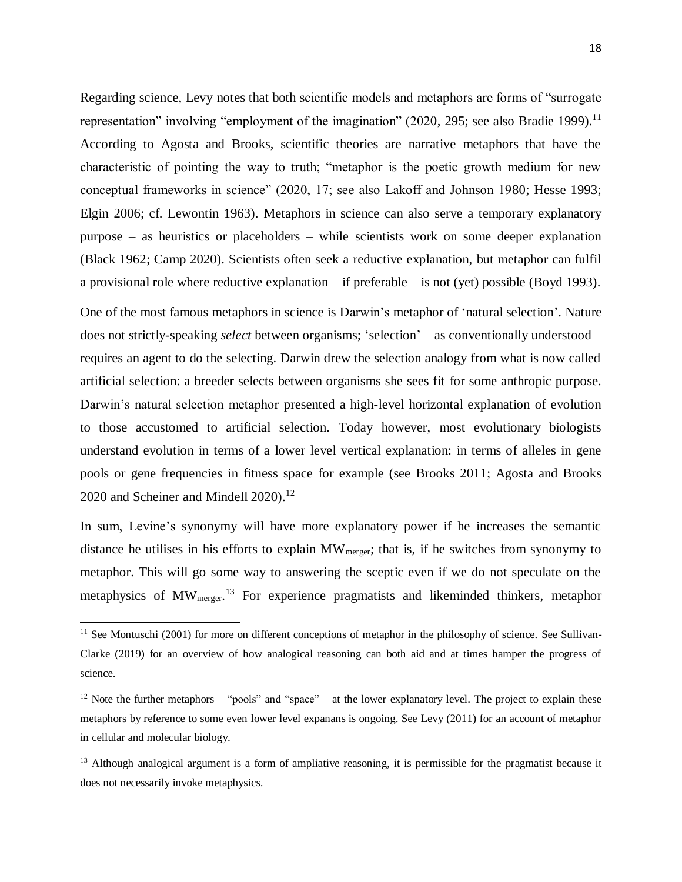Regarding science, Levy notes that both scientific models and metaphors are forms of "surrogate representation" involving "employment of the imagination" (2020, 295; see also Bradie 1999).<sup>11</sup> According to Agosta and Brooks, scientific theories are narrative metaphors that have the characteristic of pointing the way to truth; "metaphor is the poetic growth medium for new conceptual frameworks in science" (2020, 17; see also Lakoff and Johnson 1980; Hesse 1993; Elgin 2006; cf. Lewontin 1963). Metaphors in science can also serve a temporary explanatory purpose – as heuristics or placeholders – while scientists work on some deeper explanation (Black 1962; Camp 2020). Scientists often seek a reductive explanation, but metaphor can fulfil a provisional role where reductive explanation – if preferable – is not (yet) possible (Boyd 1993).

One of the most famous metaphors in science is Darwin's metaphor of 'natural selection'. Nature does not strictly-speaking *select* between organisms; 'selection' – as conventionally understood – requires an agent to do the selecting. Darwin drew the selection analogy from what is now called artificial selection: a breeder selects between organisms she sees fit for some anthropic purpose. Darwin's natural selection metaphor presented a high-level horizontal explanation of evolution to those accustomed to artificial selection. Today however, most evolutionary biologists understand evolution in terms of a lower level vertical explanation: in terms of alleles in gene pools or gene frequencies in fitness space for example (see Brooks 2011; Agosta and Brooks 2020 and Scheiner and Mindell 2020). 12

In sum, Levine's synonymy will have more explanatory power if he increases the semantic distance he utilises in his efforts to explain MW<sub>merger</sub>; that is, if he switches from synonymy to metaphor. This will go some way to answering the sceptic even if we do not speculate on the metaphysics of MW<sub>merger</sub>.<sup>13</sup> For experience pragmatists and likeminded thinkers, metaphor

 $11$  See Montuschi (2001) for more on different conceptions of metaphor in the philosophy of science. See Sullivan-Clarke (2019) for an overview of how analogical reasoning can both aid and at times hamper the progress of science.

 $12$  Note the further metaphors – "pools" and "space" – at the lower explanatory level. The project to explain these metaphors by reference to some even lower level expanans is ongoing. See Levy (2011) for an account of metaphor in cellular and molecular biology.

<sup>&</sup>lt;sup>13</sup> Although analogical argument is a form of ampliative reasoning, it is permissible for the pragmatist because it does not necessarily invoke metaphysics.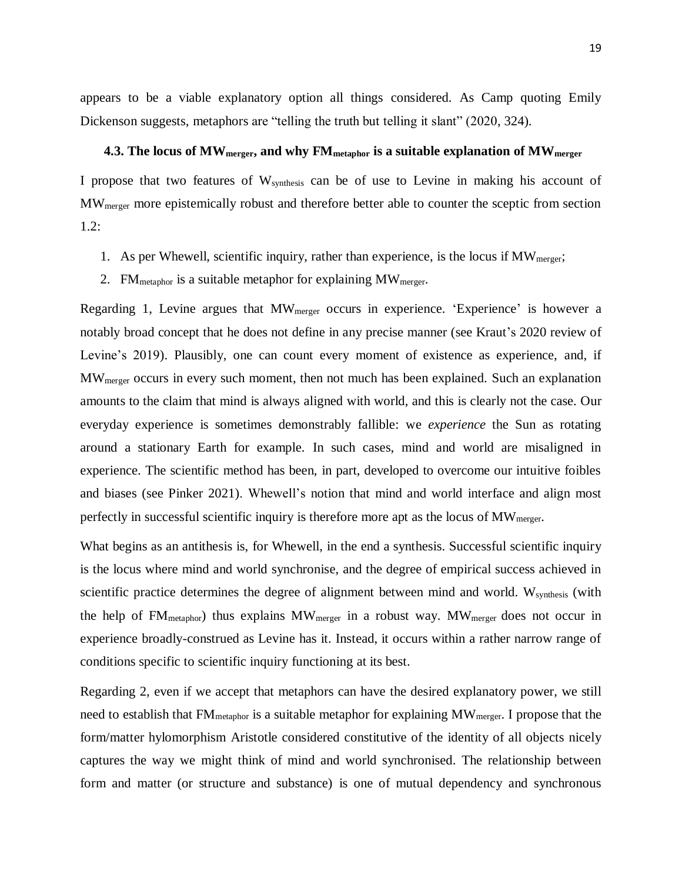appears to be a viable explanatory option all things considered. As Camp quoting Emily Dickenson suggests, metaphors are "telling the truth but telling it slant" (2020, 324).

### **4.3. The locus of MWmerger, and why FMmetaphor is a suitable explanation of MWmerger**

I propose that two features of Wsynthesis can be of use to Levine in making his account of MWmerger more epistemically robust and therefore better able to counter the sceptic from section 1.2:

- 1. As per Whewell, scientific inquiry, rather than experience, is the locus if  $MW<sub>merger</sub>$ ;
- 2. FM<sub>metaphor</sub> is a suitable metaphor for explaining  $MW_{merger}$ .

Regarding 1, Levine argues that MW<sub>merger</sub> occurs in experience. 'Experience' is however a notably broad concept that he does not define in any precise manner (see Kraut's 2020 review of Levine's 2019). Plausibly, one can count every moment of existence as experience, and, if MWmerger occurs in every such moment, then not much has been explained. Such an explanation amounts to the claim that mind is always aligned with world, and this is clearly not the case. Our everyday experience is sometimes demonstrably fallible: we *experience* the Sun as rotating around a stationary Earth for example. In such cases, mind and world are misaligned in experience. The scientific method has been, in part, developed to overcome our intuitive foibles and biases (see Pinker 2021). Whewell's notion that mind and world interface and align most perfectly in successful scientific inquiry is therefore more apt as the locus of  $MW_{merger}$ .

What begins as an antithesis is, for Whewell, in the end a synthesis. Successful scientific inquiry is the locus where mind and world synchronise, and the degree of empirical success achieved in scientific practice determines the degree of alignment between mind and world. W<sub>synthesis</sub> (with the help of FMmetaphor) thus explains MWmerger in a robust way. MWmerger does not occur in experience broadly-construed as Levine has it. Instead, it occurs within a rather narrow range of conditions specific to scientific inquiry functioning at its best.

Regarding 2, even if we accept that metaphors can have the desired explanatory power, we still need to establish that FM<sub>metaphor</sub> is a suitable metaphor for explaining MW<sub>merger</sub>. I propose that the form/matter hylomorphism Aristotle considered constitutive of the identity of all objects nicely captures the way we might think of mind and world synchronised. The relationship between form and matter (or structure and substance) is one of mutual dependency and synchronous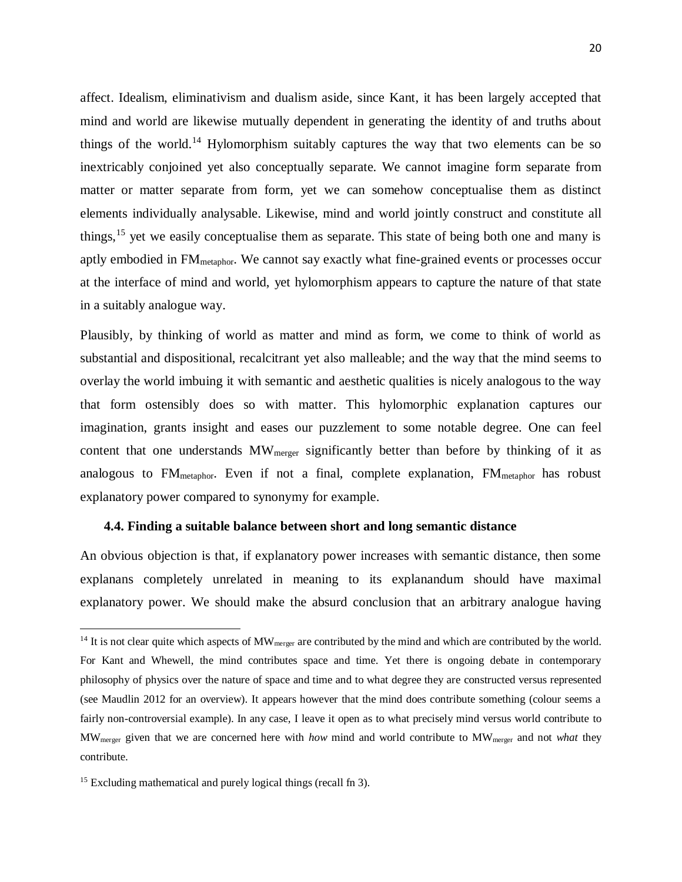affect. Idealism, eliminativism and dualism aside, since Kant, it has been largely accepted that mind and world are likewise mutually dependent in generating the identity of and truths about things of the world.<sup>14</sup> Hylomorphism suitably captures the way that two elements can be so inextricably conjoined yet also conceptually separate. We cannot imagine form separate from matter or matter separate from form, yet we can somehow conceptualise them as distinct elements individually analysable. Likewise, mind and world jointly construct and constitute all things,<sup>15</sup> yet we easily conceptualise them as separate. This state of being both one and many is aptly embodied in  $FM_{\text{metablor}}$ . We cannot say exactly what fine-grained events or processes occur at the interface of mind and world, yet hylomorphism appears to capture the nature of that state in a suitably analogue way.

Plausibly, by thinking of world as matter and mind as form, we come to think of world as substantial and dispositional, recalcitrant yet also malleable; and the way that the mind seems to overlay the world imbuing it with semantic and aesthetic qualities is nicely analogous to the way that form ostensibly does so with matter. This hylomorphic explanation captures our imagination, grants insight and eases our puzzlement to some notable degree. One can feel content that one understands MW<sub>merger</sub> significantly better than before by thinking of it as analogous to  $FM_{\text{metaphor}}$ . Even if not a final, complete explanation,  $FM_{\text{metaphor}}$  has robust explanatory power compared to synonymy for example.

### **4.4. Finding a suitable balance between short and long semantic distance**

An obvious objection is that, if explanatory power increases with semantic distance, then some explanans completely unrelated in meaning to its explanandum should have maximal explanatory power. We should make the absurd conclusion that an arbitrary analogue having

 $14$  It is not clear quite which aspects of MW<sub>merger</sub> are contributed by the mind and which are contributed by the world. For Kant and Whewell, the mind contributes space and time. Yet there is ongoing debate in contemporary philosophy of physics over the nature of space and time and to what degree they are constructed versus represented (see Maudlin 2012 for an overview). It appears however that the mind does contribute something (colour seems a fairly non-controversial example). In any case, I leave it open as to what precisely mind versus world contribute to MWmerger given that we are concerned here with *how* mind and world contribute to MWmerger and not *what* they contribute.

<sup>&</sup>lt;sup>15</sup> Excluding mathematical and purely logical things (recall fn 3).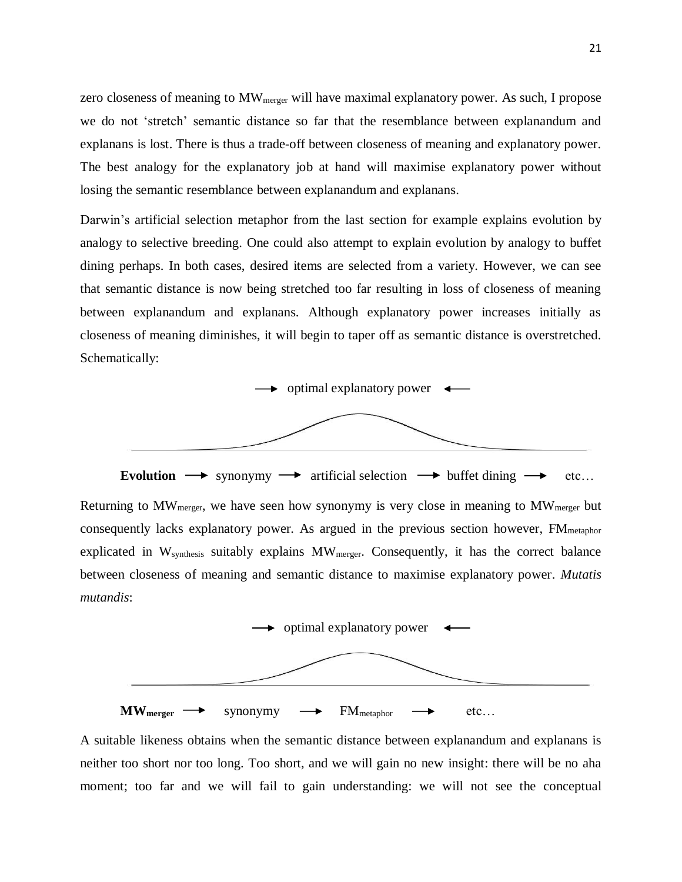zero closeness of meaning to MW<sub>merger</sub> will have maximal explanatory power. As such, I propose we do not 'stretch' semantic distance so far that the resemblance between explanandum and explanans is lost. There is thus a trade-off between closeness of meaning and explanatory power. The best analogy for the explanatory job at hand will maximise explanatory power without losing the semantic resemblance between explanandum and explanans.

Darwin's artificial selection metaphor from the last section for example explains evolution by analogy to selective breeding. One could also attempt to explain evolution by analogy to buffet dining perhaps. In both cases, desired items are selected from a variety. However, we can see that semantic distance is now being stretched too far resulting in loss of closeness of meaning between explanandum and explanans. Although explanatory power increases initially as closeness of meaning diminishes, it will begin to taper off as semantic distance is overstretched. Schematically:



**Evolution**  $\rightarrow$  synonymy  $\rightarrow$  artificial selection  $\rightarrow$  buffet dining  $\rightarrow$  etc... Returning to MWmerger, we have seen how synonymy is very close in meaning to MWmerger but consequently lacks explanatory power. As argued in the previous section however, FM<sub>metaphor</sub> explicated in Wsynthesis suitably explains MWmerger. Consequently, it has the correct balance between closeness of meaning and semantic distance to maximise explanatory power. *Mutatis mutandis*:



A suitable likeness obtains when the semantic distance between explanandum and explanans is neither too short nor too long. Too short, and we will gain no new insight: there will be no aha moment; too far and we will fail to gain understanding: we will not see the conceptual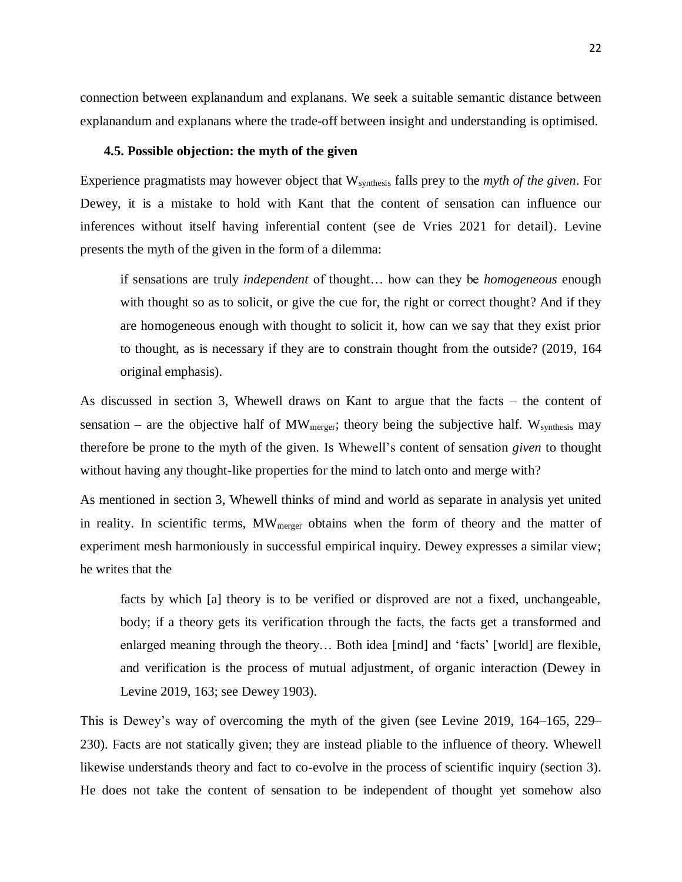connection between explanandum and explanans. We seek a suitable semantic distance between explanandum and explanans where the trade-off between insight and understanding is optimised.

### **4.5. Possible objection: the myth of the given**

Experience pragmatists may however object that Wsynthesis falls prey to the *myth of the given*. For Dewey, it is a mistake to hold with Kant that the content of sensation can influence our inferences without itself having inferential content (see de Vries 2021 for detail). Levine presents the myth of the given in the form of a dilemma:

if sensations are truly *independent* of thought… how can they be *homogeneous* enough with thought so as to solicit, or give the cue for, the right or correct thought? And if they are homogeneous enough with thought to solicit it, how can we say that they exist prior to thought, as is necessary if they are to constrain thought from the outside? (2019, 164 original emphasis).

As discussed in section 3, Whewell draws on Kant to argue that the facts – the content of sensation – are the objective half of  $MW_{merger}$ ; theory being the subjective half. W<sub>synthesis</sub> may therefore be prone to the myth of the given. Is Whewell's content of sensation *given* to thought without having any thought-like properties for the mind to latch onto and merge with?

As mentioned in section 3, Whewell thinks of mind and world as separate in analysis yet united in reality. In scientific terms, MW<sub>merger</sub> obtains when the form of theory and the matter of experiment mesh harmoniously in successful empirical inquiry. Dewey expresses a similar view; he writes that the

facts by which [a] theory is to be verified or disproved are not a fixed, unchangeable, body; if a theory gets its verification through the facts, the facts get a transformed and enlarged meaning through the theory… Both idea [mind] and 'facts' [world] are flexible, and verification is the process of mutual adjustment, of organic interaction (Dewey in Levine 2019, 163; see Dewey 1903).

This is Dewey's way of overcoming the myth of the given (see Levine 2019, 164–165, 229– 230). Facts are not statically given; they are instead pliable to the influence of theory. Whewell likewise understands theory and fact to co-evolve in the process of scientific inquiry (section 3). He does not take the content of sensation to be independent of thought yet somehow also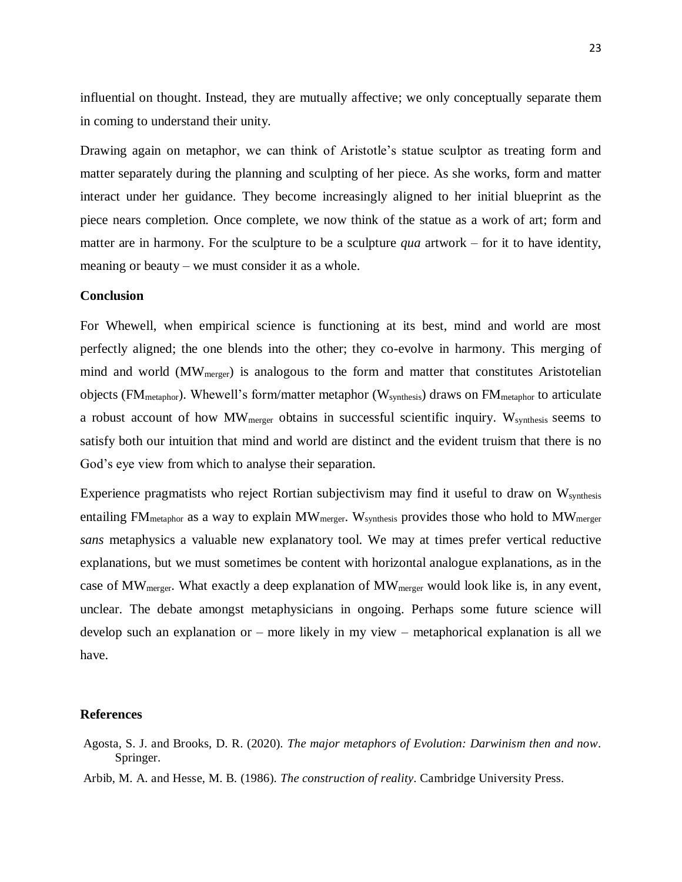influential on thought. Instead, they are mutually affective; we only conceptually separate them in coming to understand their unity.

Drawing again on metaphor, we can think of Aristotle's statue sculptor as treating form and matter separately during the planning and sculpting of her piece. As she works, form and matter interact under her guidance. They become increasingly aligned to her initial blueprint as the piece nears completion. Once complete, we now think of the statue as a work of art; form and matter are in harmony. For the sculpture to be a sculpture *qua* artwork – for it to have identity, meaning or beauty – we must consider it as a whole.

# **Conclusion**

For Whewell, when empirical science is functioning at its best, mind and world are most perfectly aligned; the one blends into the other; they co-evolve in harmony. This merging of mind and world  $(MW<sub>merger</sub>)$  is analogous to the form and matter that constitutes Aristotelian objects ( $FM_{\text{metaphor}}$ ). Whewell's form/matter metaphor ( $W_{\text{synthesis}}$ ) draws on  $FM_{\text{metaphor}}$  to articulate a robust account of how MW<sub>merger</sub> obtains in successful scientific inquiry. W<sub>synthesis</sub> seems to satisfy both our intuition that mind and world are distinct and the evident truism that there is no God's eye view from which to analyse their separation.

Experience pragmatists who reject Rortian subjectivism may find it useful to draw on W<sub>synthesis</sub> entailing  $FM_{metablor}$  as a way to explain  $MW_{merger}$ . Wsynthesis provides those who hold to  $MW_{merger}$ *sans* metaphysics a valuable new explanatory tool. We may at times prefer vertical reductive explanations, but we must sometimes be content with horizontal analogue explanations, as in the case of MW<sub>merger</sub>. What exactly a deep explanation of MW<sub>merger</sub> would look like is, in any event, unclear. The debate amongst metaphysicians in ongoing. Perhaps some future science will develop such an explanation or – more likely in my view – metaphorical explanation is all we have.

#### **References**

Agosta, S. J. and Brooks, D. R. (2020). *The major metaphors of Evolution: Darwinism then and now*. Springer.

Arbib, M. A. and Hesse, M. B. (1986). *The construction of reality*. Cambridge University Press.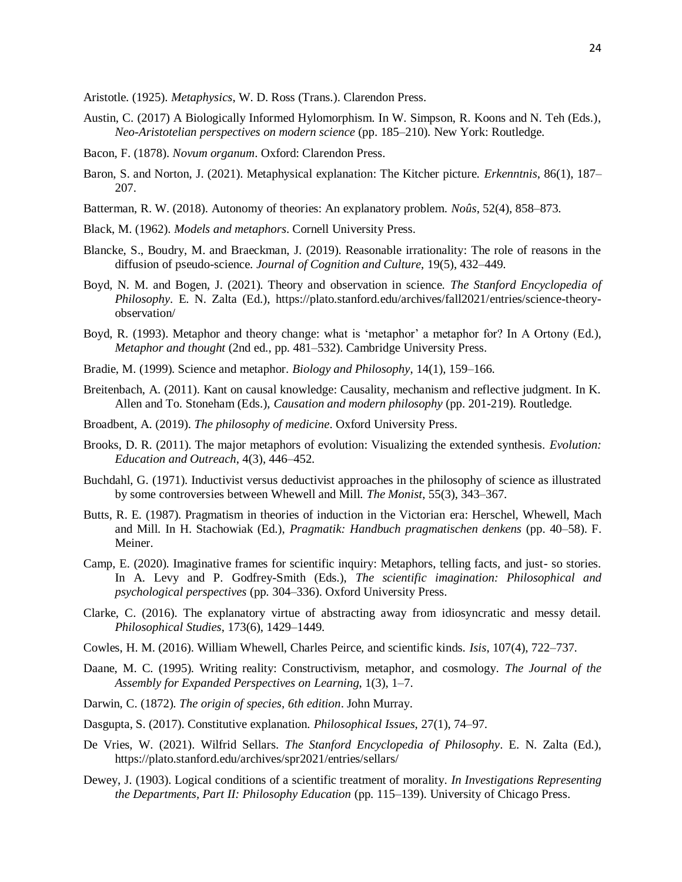Aristotle. (1925). *Metaphysics*, W. D. Ross (Trans.). Clarendon Press.

- Austin, C. (2017) A Biologically Informed Hylomorphism. In W. Simpson, R. Koons and N. Teh (Eds.), *Neo-Aristotelian perspectives on modern science* (pp. 185–210)*.* New York: Routledge.
- Bacon, F. (1878). *Novum organum*. Oxford: Clarendon Press.
- Baron, S. and Norton, J. (2021). Metaphysical explanation: The Kitcher picture. *Erkenntnis*, 86(1), 187– 207.
- Batterman, R. W. (2018). Autonomy of theories: An explanatory problem. *Noûs*, 52(4), 858–873.
- Black, M. (1962). *Models and metaphors*. Cornell University Press.
- Blancke, S., Boudry, M. and Braeckman, J. (2019). Reasonable irrationality: The role of reasons in the diffusion of pseudo-science. *Journal of Cognition and Culture*, 19(5), 432–449.
- Boyd, N. M. and Bogen, J. (2021). Theory and observation in science. *The Stanford Encyclopedia of Philosophy*. E. N. Zalta (Ed.), https://plato.stanford.edu/archives/fall2021/entries/science-theoryobservation/
- Boyd, R. (1993). Metaphor and theory change: what is 'metaphor' a metaphor for? In A Ortony (Ed.), *Metaphor and thought* (2nd ed., pp. 481–532). Cambridge University Press.
- Bradie, M. (1999). Science and metaphor. *Biology and Philosophy*, 14(1), 159–166.
- Breitenbach, A. (2011). Kant on causal knowledge: Causality, mechanism and reflective judgment. In K. Allen and To. Stoneham (Eds.), *Causation and modern philosophy* (pp. 201-219). Routledge.
- Broadbent, A. (2019). *The philosophy of medicine*. Oxford University Press.
- Brooks, D. R. (2011). The major metaphors of evolution: Visualizing the extended synthesis. *Evolution: Education and Outreach*, 4(3), 446–452.
- Buchdahl, G. (1971). Inductivist versus deductivist approaches in the philosophy of science as illustrated by some controversies between Whewell and Mill. *The Monist*, 55(3), 343–367.
- Butts, R. E. (1987). Pragmatism in theories of induction in the Victorian era: Herschel, Whewell, Mach and Mill. In H. Stachowiak (Ed.), *Pragmatik: Handbuch pragmatischen denkens* (pp. 40–58). F. Meiner.
- Camp, E. (2020). Imaginative frames for scientific inquiry: Metaphors, telling facts, and just- so stories. In A. Levy and P. Godfrey-Smith (Eds.), *The scientific imagination: Philosophical and psychological perspectives* (pp. 304–336). Oxford University Press.
- Clarke, C. (2016). The explanatory virtue of abstracting away from idiosyncratic and messy detail. *Philosophical Studies*, 173(6), 1429–1449.
- Cowles, H. M. (2016). William Whewell, Charles Peirce, and scientific kinds. *Isis*, 107(4), 722–737.
- Daane, M. C. (1995). Writing reality: Constructivism, metaphor, and cosmology. *The Journal of the Assembly for Expanded Perspectives on Learning*, 1(3), 1–7.
- Darwin, C. (1872). *The origin of species, 6th edition*. John Murray.
- Dasgupta, S. (2017). Constitutive explanation. *Philosophical Issues*, 27(1), 74–97.
- De Vries, W. (2021). Wilfrid Sellars. *The Stanford Encyclopedia of Philosophy*. E. N. Zalta (Ed.), https://plato.stanford.edu/archives/spr2021/entries/sellars/
- Dewey, J. (1903). Logical conditions of a scientific treatment of morality. *In Investigations Representing the Departments, Part II: Philosophy Education* (pp. 115–139). University of Chicago Press.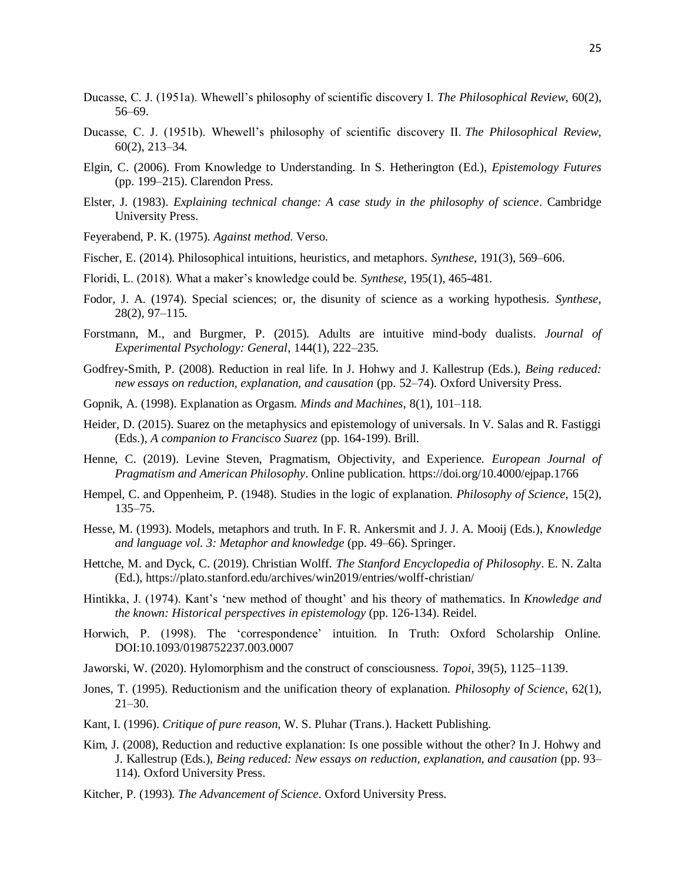- Ducasse, C. J. (1951a). Whewell's philosophy of scientific discovery I. *The Philosophical Review*, 60(2), 56–69.
- Ducasse, C. J. (1951b). Whewell's philosophy of scientific discovery II. *The Philosophical Review*, 60(2), 213–34.
- Elgin, C. (2006). From Knowledge to Understanding. In S. Hetherington (Ed.), *Epistemology Futures* (pp. 199–215). Clarendon Press.
- Elster, J. (1983). *Explaining technical change: A case study in the philosophy of science*. Cambridge University Press.
- Feyerabend, P. K. (1975). *Against method*. Verso.
- Fischer, E. (2014). Philosophical intuitions, heuristics, and metaphors. *Synthese*, 191(3), 569–606.
- Floridi, L. (2018). What a maker's knowledge could be. *Synthese*, 195(1), 465-481.
- Fodor, J. A. (1974). Special sciences; or, the disunity of science as a working hypothesis. *Synthese*, 28(2), 97–115.
- Forstmann, M., and Burgmer, P. (2015). Adults are intuitive mind-body dualists. *Journal of Experimental Psychology: General*, 144(1), 222–235.
- Godfrey-Smith, P. (2008). Reduction in real life. In J. Hohwy and J. Kallestrup (Eds.), *Being reduced: new essays on reduction, explanation, and causation* (pp. 52–74). Oxford University Press.
- Gopnik, A. (1998). Explanation as Orgasm. *Minds and Machines*, 8(1), 101–118.
- Heider, D. (2015). Suarez on the metaphysics and epistemology of universals. In V. Salas and R. Fastiggi (Eds.), *A companion to Francisco Suarez* (pp. 164-199). Brill.
- Henne, C. (2019). Levine Steven, Pragmatism, Objectivity, and Experience. *European Journal of Pragmatism and American Philosophy*. Online publication. https://doi.org/10.4000/ejpap.1766
- Hempel, C. and Oppenheim, P. (1948). Studies in the logic of explanation. *Philosophy of Science*, 15(2), 135–75.
- Hesse, M. (1993). Models, metaphors and truth. In F. R. Ankersmit and J. J. A. Mooij (Eds.), *Knowledge and language vol. 3: Metaphor and knowledge* (pp. 49–66). Springer.
- Hettche, M. and Dyck, C. (2019). Christian Wolff. *The Stanford Encyclopedia of Philosophy*. E. N. Zalta (Ed.), https://plato.stanford.edu/archives/win2019/entries/wolff-christian/
- Hintikka, J. (1974). Kant's 'new method of thought' and his theory of mathematics. In *Knowledge and the known: Historical perspectives in epistemology* (pp. 126-134). Reidel.
- Horwich, P. (1998). The 'correspondence' intuition. In Truth: Oxford Scholarship Online. DOI:10.1093/0198752237.003.0007
- Jaworski, W. (2020). Hylomorphism and the construct of consciousness. *Topoi*, 39(5), 1125–1139.
- Jones, T. (1995). Reductionism and the unification theory of explanation. *Philosophy of Science*, 62(1), 21–30.
- Kant, I. (1996). *Critique of pure reason*, W. S. Pluhar (Trans.). Hackett Publishing.
- Kim, J. (2008), Reduction and reductive explanation: Is one possible without the other? In J. Hohwy and J. Kallestrup (Eds.), *Being reduced: New essays on reduction, explanation, and causation* (pp. 93– 114). Oxford University Press.
- Kitcher, P. (1993). *The Advancement of Science*. Oxford University Press.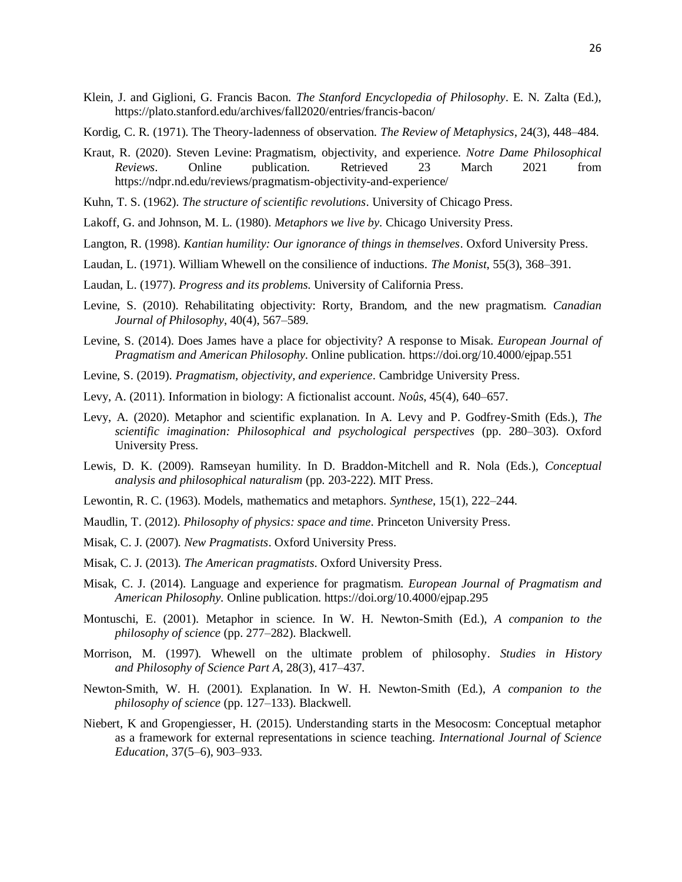- Klein, J. and Giglioni, G. Francis Bacon. *The Stanford Encyclopedia of Philosophy*. E. N. Zalta (Ed.), https://plato.stanford.edu/archives/fall2020/entries/francis-bacon/
- Kordig, C. R. (1971). The Theory-ladenness of observation. *The Review of Metaphysics*, 24(3), 448–484.
- Kraut, R. (2020). Steven Levine: Pragmatism, objectivity, and experience. *Notre Dame Philosophical Reviews*. Online publication. Retrieved 23 March 2021 from https://ndpr.nd.edu/reviews/pragmatism-objectivity-and-experience/
- Kuhn, T. S. (1962). *The structure of scientific revolutions*. University of Chicago Press.
- Lakoff, G. and Johnson, M. L. (1980). *Metaphors we live by*. Chicago University Press.
- Langton, R. (1998). *Kantian humility: Our ignorance of things in themselves*. Oxford University Press.
- Laudan, L. (1971). William Whewell on the consilience of inductions. *The Monist*, 55(3), 368–391.
- Laudan, L. (1977). *Progress and its problems*. University of California Press.
- Levine, S. (2010). Rehabilitating objectivity: Rorty, Brandom, and the new pragmatism. *Canadian Journal of Philosophy*, 40(4), 567–589.
- Levine, S. (2014). Does James have a place for objectivity? A response to Misak. *European Journal of Pragmatism and American Philosophy.* Online publication. https://doi.org/10.4000/ejpap.551
- Levine, S. (2019). *Pragmatism, objectivity, and experience*. Cambridge University Press.
- Levy, A. (2011). Information in biology: A fictionalist account. *Noûs*, 45(4), 640–657.
- Levy, A. (2020). Metaphor and scientific explanation. In A. Levy and P. Godfrey-Smith (Eds.), *The scientific imagination: Philosophical and psychological perspectives* (pp. 280–303). Oxford University Press.
- Lewis, D. K. (2009). Ramseyan humility. In D. Braddon-Mitchell and R. Nola (Eds.), *Conceptual analysis and philosophical naturalism* (pp. 203-222). MIT Press.
- Lewontin, R. C. (1963). Models, mathematics and metaphors. *Synthese*, 15(1), 222–244.
- Maudlin, T. (2012). *Philosophy of physics: space and time*. Princeton University Press.
- Misak, C. J. (2007). *New Pragmatists*. Oxford University Press.
- Misak, C. J. (2013). *The American pragmatists*. Oxford University Press.
- Misak, C. J. (2014). Language and experience for pragmatism. *European Journal of Pragmatism and American Philosophy.* Online publication. https://doi.org/10.4000/ejpap.295
- Montuschi, E. (2001). Metaphor in science. In W. H. Newton-Smith (Ed.), *A companion to the philosophy of science* (pp. 277–282). Blackwell.
- Morrison, M. (1997). Whewell on the ultimate problem of philosophy. *Studies in History and Philosophy of Science Part A*, 28(3), 417–437.
- Newton-Smith, W. H. (2001). Explanation. In W. H. Newton-Smith (Ed.), *A companion to the philosophy of science* (pp. 127–133). Blackwell.
- Niebert, K and Gropengiesser, H. (2015). Understanding starts in the Mesocosm: Conceptual metaphor as a framework for external representations in science teaching. *International Journal of Science Education*, 37(5–6), 903–933.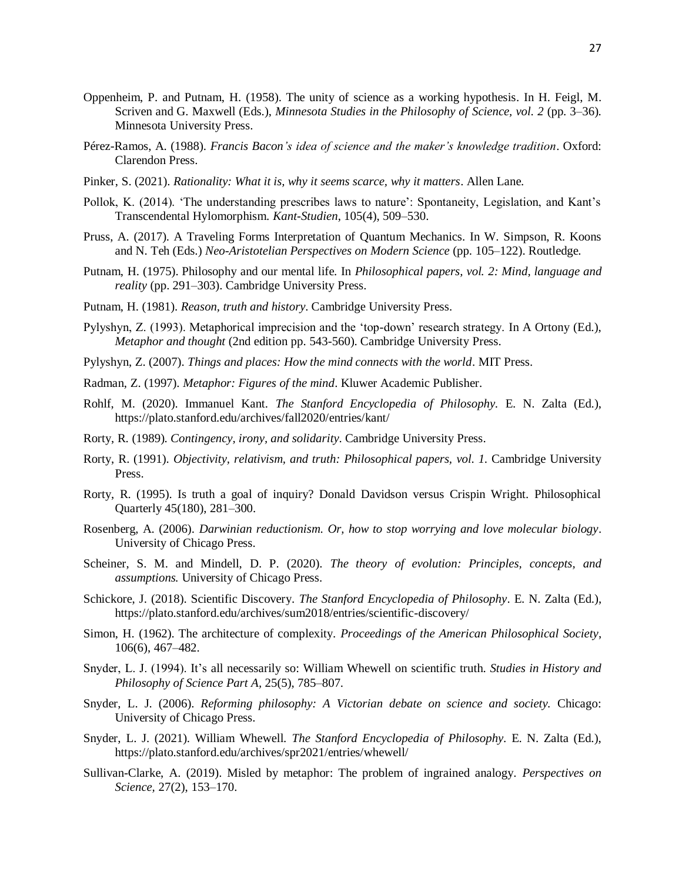- Oppenheim, P. and Putnam, H. (1958). The unity of science as a working hypothesis. In H. Feigl, M. Scriven and G. Maxwell (Eds.), *Minnesota Studies in the Philosophy of Science, vol. 2* (pp. 3–36). Minnesota University Press.
- Pérez-Ramos, A. (1988). *Francis Bacon's idea of science and the maker's knowledge tradition*. Oxford: Clarendon Press.
- Pinker, S. (2021). *Rationality: What it is, why it seems scarce, why it matters*. Allen Lane.
- Pollok, K. (2014). 'The understanding prescribes laws to nature': Spontaneity, Legislation, and Kant's Transcendental Hylomorphism. *Kant-Studien*, 105(4), 509–530.
- Pruss, A. (2017). A Traveling Forms Interpretation of Quantum Mechanics. In W. Simpson, R. Koons and N. Teh (Eds.) *Neo-Aristotelian Perspectives on Modern Science* (pp. 105–122). Routledge.
- Putnam, H. (1975). Philosophy and our mental life. In *Philosophical papers, vol. 2: Mind, language and reality* (pp. 291–303). Cambridge University Press.
- Putnam, H. (1981). *Reason, truth and history*. Cambridge University Press.
- Pylyshyn, Z. (1993). Metaphorical imprecision and the 'top-down' research strategy. In A Ortony (Ed.), *Metaphor and thought* (2nd edition pp. 543-560). Cambridge University Press.
- Pylyshyn, Z. (2007). *Things and places: How the mind connects with the world*. MIT Press.
- Radman, Z. (1997). *Metaphor: Figures of the mind*. Kluwer Academic Publisher.
- Rohlf, M. (2020). Immanuel Kant. *The Stanford Encyclopedia of Philosophy.* E. N. Zalta (Ed.), https://plato.stanford.edu/archives/fall2020/entries/kant/
- Rorty, R. (1989). *Contingency, irony, and solidarity*. Cambridge University Press.
- Rorty, R. (1991). *Objectivity, relativism, and truth: Philosophical papers, vol. 1.* Cambridge University Press.
- Rorty, R. (1995). Is truth a goal of inquiry? Donald Davidson versus Crispin Wright. Philosophical Quarterly 45(180), 281–300.
- Rosenberg, A. (2006). *Darwinian reductionism. Or, how to stop worrying and love molecular biology*. University of Chicago Press.
- Scheiner, S. M. and Mindell, D. P. (2020). *The theory of evolution: Principles, concepts, and assumptions.* University of Chicago Press.
- Schickore, J. (2018). Scientific Discovery. *The Stanford Encyclopedia of Philosophy*. E. N. Zalta (Ed.), https://plato.stanford.edu/archives/sum2018/entries/scientific-discovery/
- Simon, H. (1962). The architecture of complexity. *Proceedings of the American Philosophical Society*, 106(6), 467–482.
- Snyder, L. J. (1994). It's all necessarily so: William Whewell on scientific truth. *Studies in History and Philosophy of Science Part A,* 25(5), 785–807.
- Snyder, L. J. (2006). *Reforming philosophy: A Victorian debate on science and society.* Chicago: University of Chicago Press.
- Snyder, L. J. (2021). William Whewell. *The Stanford Encyclopedia of Philosophy*. E. N. Zalta (Ed.), https://plato.stanford.edu/archives/spr2021/entries/whewell/
- Sullivan-Clarke, A. (2019). Misled by metaphor: The problem of ingrained analogy. *Perspectives on Science,* 27(2), 153–170.